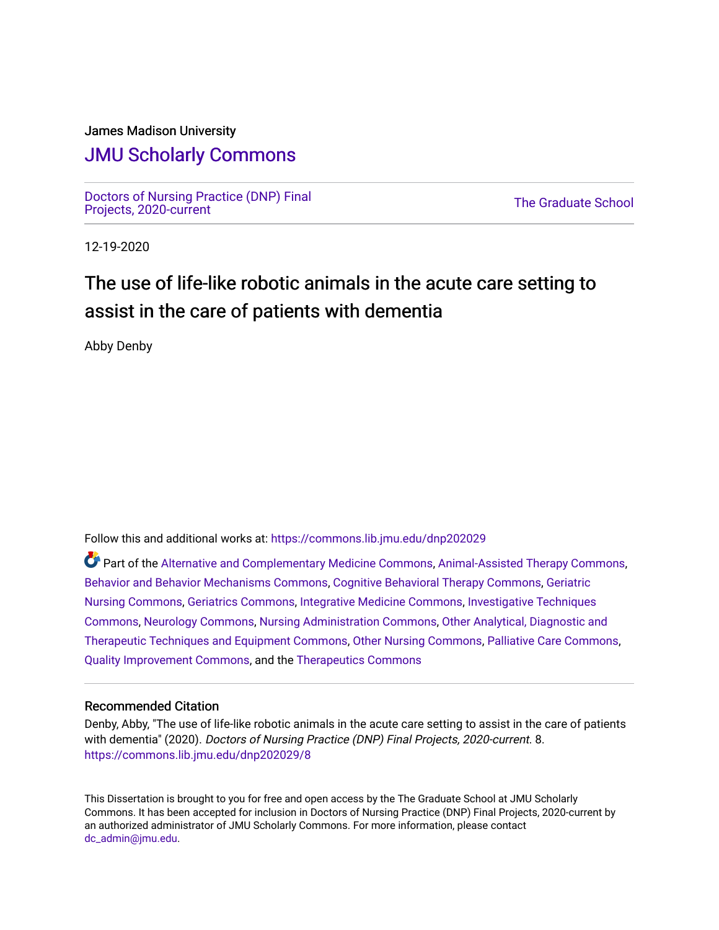## James Madison University

# [JMU Scholarly Commons](https://commons.lib.jmu.edu/)

[Doctors of Nursing Practice \(DNP\) Final](https://commons.lib.jmu.edu/dnp202029) [Projects, 2020-current](https://commons.lib.jmu.edu/dnp202029) [The Graduate School](https://commons.lib.jmu.edu/grad) Projects, 2020-current The Graduate School

12-19-2020

# The use of life-like robotic animals in the acute care setting to assist in the care of patients with dementia

Abby Denby

Follow this and additional works at: [https://commons.lib.jmu.edu/dnp202029](https://commons.lib.jmu.edu/dnp202029?utm_source=commons.lib.jmu.edu%2Fdnp202029%2F8&utm_medium=PDF&utm_campaign=PDFCoverPages)

Part of the [Alternative and Complementary Medicine Commons,](http://network.bepress.com/hgg/discipline/649?utm_source=commons.lib.jmu.edu%2Fdnp202029%2F8&utm_medium=PDF&utm_campaign=PDFCoverPages) [Animal-Assisted Therapy Commons,](http://network.bepress.com/hgg/discipline/1304?utm_source=commons.lib.jmu.edu%2Fdnp202029%2F8&utm_medium=PDF&utm_campaign=PDFCoverPages) [Behavior and Behavior Mechanisms Commons](http://network.bepress.com/hgg/discipline/963?utm_source=commons.lib.jmu.edu%2Fdnp202029%2F8&utm_medium=PDF&utm_campaign=PDFCoverPages), [Cognitive Behavioral Therapy Commons,](http://network.bepress.com/hgg/discipline/1078?utm_source=commons.lib.jmu.edu%2Fdnp202029%2F8&utm_medium=PDF&utm_campaign=PDFCoverPages) [Geriatric](http://network.bepress.com/hgg/discipline/1034?utm_source=commons.lib.jmu.edu%2Fdnp202029%2F8&utm_medium=PDF&utm_campaign=PDFCoverPages) [Nursing Commons](http://network.bepress.com/hgg/discipline/1034?utm_source=commons.lib.jmu.edu%2Fdnp202029%2F8&utm_medium=PDF&utm_campaign=PDFCoverPages), [Geriatrics Commons](http://network.bepress.com/hgg/discipline/688?utm_source=commons.lib.jmu.edu%2Fdnp202029%2F8&utm_medium=PDF&utm_campaign=PDFCoverPages), [Integrative Medicine Commons](http://network.bepress.com/hgg/discipline/1355?utm_source=commons.lib.jmu.edu%2Fdnp202029%2F8&utm_medium=PDF&utm_campaign=PDFCoverPages), [Investigative Techniques](http://network.bepress.com/hgg/discipline/922?utm_source=commons.lib.jmu.edu%2Fdnp202029%2F8&utm_medium=PDF&utm_campaign=PDFCoverPages) [Commons](http://network.bepress.com/hgg/discipline/922?utm_source=commons.lib.jmu.edu%2Fdnp202029%2F8&utm_medium=PDF&utm_campaign=PDFCoverPages), [Neurology Commons,](http://network.bepress.com/hgg/discipline/692?utm_source=commons.lib.jmu.edu%2Fdnp202029%2F8&utm_medium=PDF&utm_campaign=PDFCoverPages) [Nursing Administration Commons](http://network.bepress.com/hgg/discipline/719?utm_source=commons.lib.jmu.edu%2Fdnp202029%2F8&utm_medium=PDF&utm_campaign=PDFCoverPages), [Other Analytical, Diagnostic and](http://network.bepress.com/hgg/discipline/994?utm_source=commons.lib.jmu.edu%2Fdnp202029%2F8&utm_medium=PDF&utm_campaign=PDFCoverPages)  [Therapeutic Techniques and Equipment Commons](http://network.bepress.com/hgg/discipline/994?utm_source=commons.lib.jmu.edu%2Fdnp202029%2F8&utm_medium=PDF&utm_campaign=PDFCoverPages), [Other Nursing Commons,](http://network.bepress.com/hgg/discipline/729?utm_source=commons.lib.jmu.edu%2Fdnp202029%2F8&utm_medium=PDF&utm_campaign=PDFCoverPages) [Palliative Care Commons,](http://network.bepress.com/hgg/discipline/1265?utm_source=commons.lib.jmu.edu%2Fdnp202029%2F8&utm_medium=PDF&utm_campaign=PDFCoverPages) [Quality Improvement Commons,](http://network.bepress.com/hgg/discipline/1430?utm_source=commons.lib.jmu.edu%2Fdnp202029%2F8&utm_medium=PDF&utm_campaign=PDFCoverPages) and the [Therapeutics Commons](http://network.bepress.com/hgg/discipline/993?utm_source=commons.lib.jmu.edu%2Fdnp202029%2F8&utm_medium=PDF&utm_campaign=PDFCoverPages)

#### Recommended Citation

Denby, Abby, "The use of life-like robotic animals in the acute care setting to assist in the care of patients with dementia" (2020). Doctors of Nursing Practice (DNP) Final Projects, 2020-current. 8. [https://commons.lib.jmu.edu/dnp202029/8](https://commons.lib.jmu.edu/dnp202029/8?utm_source=commons.lib.jmu.edu%2Fdnp202029%2F8&utm_medium=PDF&utm_campaign=PDFCoverPages) 

This Dissertation is brought to you for free and open access by the The Graduate School at JMU Scholarly Commons. It has been accepted for inclusion in Doctors of Nursing Practice (DNP) Final Projects, 2020-current by an authorized administrator of JMU Scholarly Commons. For more information, please contact [dc\\_admin@jmu.edu](mailto:dc_admin@jmu.edu).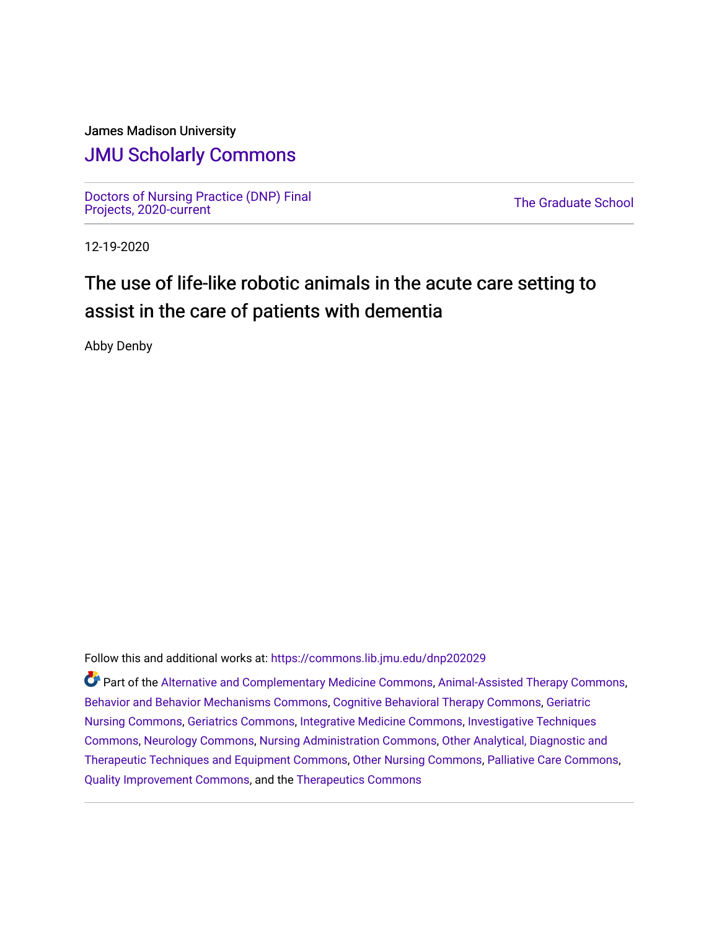## James Madison University

# [JMU Scholarly Commons](https://commons.lib.jmu.edu/)

[Doctors of Nursing Practice \(DNP\) Final](https://commons.lib.jmu.edu/dnp202029) Doctors of Nursing Practice (DNP) Final<br>[Projects, 2020-current](https://commons.lib.jmu.edu/dnp202029) The Graduate School

12-19-2020

# The use of life-like robotic animals in the acute care setting to assist in the care of patients with dementia

Abby Denby

Follow this and additional works at: [https://commons.lib.jmu.edu/dnp202029](https://commons.lib.jmu.edu/dnp202029?utm_source=commons.lib.jmu.edu%2Fdnp202029%2F1&utm_medium=PDF&utm_campaign=PDFCoverPages)

Part of the [Alternative and Complementary Medicine Commons,](http://network.bepress.com/hgg/discipline/649?utm_source=commons.lib.jmu.edu%2Fdnp202029%2F1&utm_medium=PDF&utm_campaign=PDFCoverPages) [Animal-Assisted Therapy Commons,](http://network.bepress.com/hgg/discipline/1304?utm_source=commons.lib.jmu.edu%2Fdnp202029%2F1&utm_medium=PDF&utm_campaign=PDFCoverPages) [Behavior and Behavior Mechanisms Commons](http://network.bepress.com/hgg/discipline/963?utm_source=commons.lib.jmu.edu%2Fdnp202029%2F1&utm_medium=PDF&utm_campaign=PDFCoverPages), [Cognitive Behavioral Therapy Commons,](http://network.bepress.com/hgg/discipline/1078?utm_source=commons.lib.jmu.edu%2Fdnp202029%2F1&utm_medium=PDF&utm_campaign=PDFCoverPages) [Geriatric](http://network.bepress.com/hgg/discipline/1034?utm_source=commons.lib.jmu.edu%2Fdnp202029%2F1&utm_medium=PDF&utm_campaign=PDFCoverPages) [Nursing Commons](http://network.bepress.com/hgg/discipline/1034?utm_source=commons.lib.jmu.edu%2Fdnp202029%2F1&utm_medium=PDF&utm_campaign=PDFCoverPages), [Geriatrics Commons](http://network.bepress.com/hgg/discipline/688?utm_source=commons.lib.jmu.edu%2Fdnp202029%2F1&utm_medium=PDF&utm_campaign=PDFCoverPages), [Integrative Medicine Commons](http://network.bepress.com/hgg/discipline/1355?utm_source=commons.lib.jmu.edu%2Fdnp202029%2F1&utm_medium=PDF&utm_campaign=PDFCoverPages), [Investigative Techniques](http://network.bepress.com/hgg/discipline/922?utm_source=commons.lib.jmu.edu%2Fdnp202029%2F1&utm_medium=PDF&utm_campaign=PDFCoverPages) [Commons](http://network.bepress.com/hgg/discipline/922?utm_source=commons.lib.jmu.edu%2Fdnp202029%2F1&utm_medium=PDF&utm_campaign=PDFCoverPages), [Neurology Commons,](http://network.bepress.com/hgg/discipline/692?utm_source=commons.lib.jmu.edu%2Fdnp202029%2F1&utm_medium=PDF&utm_campaign=PDFCoverPages) [Nursing Administration Commons](http://network.bepress.com/hgg/discipline/719?utm_source=commons.lib.jmu.edu%2Fdnp202029%2F1&utm_medium=PDF&utm_campaign=PDFCoverPages), [Other Analytical, Diagnostic and](http://network.bepress.com/hgg/discipline/994?utm_source=commons.lib.jmu.edu%2Fdnp202029%2F1&utm_medium=PDF&utm_campaign=PDFCoverPages)  [Therapeutic Techniques and Equipment Commons](http://network.bepress.com/hgg/discipline/994?utm_source=commons.lib.jmu.edu%2Fdnp202029%2F1&utm_medium=PDF&utm_campaign=PDFCoverPages), [Other Nursing Commons,](http://network.bepress.com/hgg/discipline/729?utm_source=commons.lib.jmu.edu%2Fdnp202029%2F1&utm_medium=PDF&utm_campaign=PDFCoverPages) [Palliative Care Commons,](http://network.bepress.com/hgg/discipline/1265?utm_source=commons.lib.jmu.edu%2Fdnp202029%2F1&utm_medium=PDF&utm_campaign=PDFCoverPages) [Quality Improvement Commons,](http://network.bepress.com/hgg/discipline/1430?utm_source=commons.lib.jmu.edu%2Fdnp202029%2F1&utm_medium=PDF&utm_campaign=PDFCoverPages) and the [Therapeutics Commons](http://network.bepress.com/hgg/discipline/993?utm_source=commons.lib.jmu.edu%2Fdnp202029%2F1&utm_medium=PDF&utm_campaign=PDFCoverPages)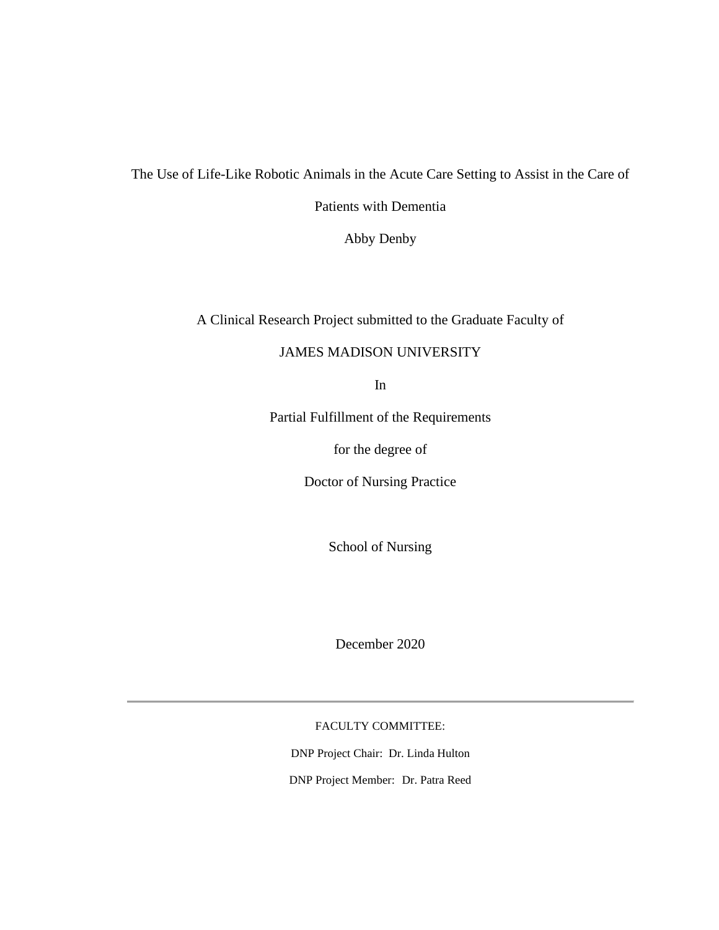The Use of Life-Like Robotic Animals in the Acute Care Setting to Assist in the Care of

Patients with Dementia

Abby Denby

A Clinical Research Project submitted to the Graduate Faculty of

## JAMES MADISON UNIVERSITY

In

Partial Fulfillment of the Requirements

for the degree of

Doctor of Nursing Practice

School of Nursing

December 2020

FACULTY COMMITTEE:

DNP Project Chair: Dr. Linda Hulton DNP Project Member: Dr. Patra Reed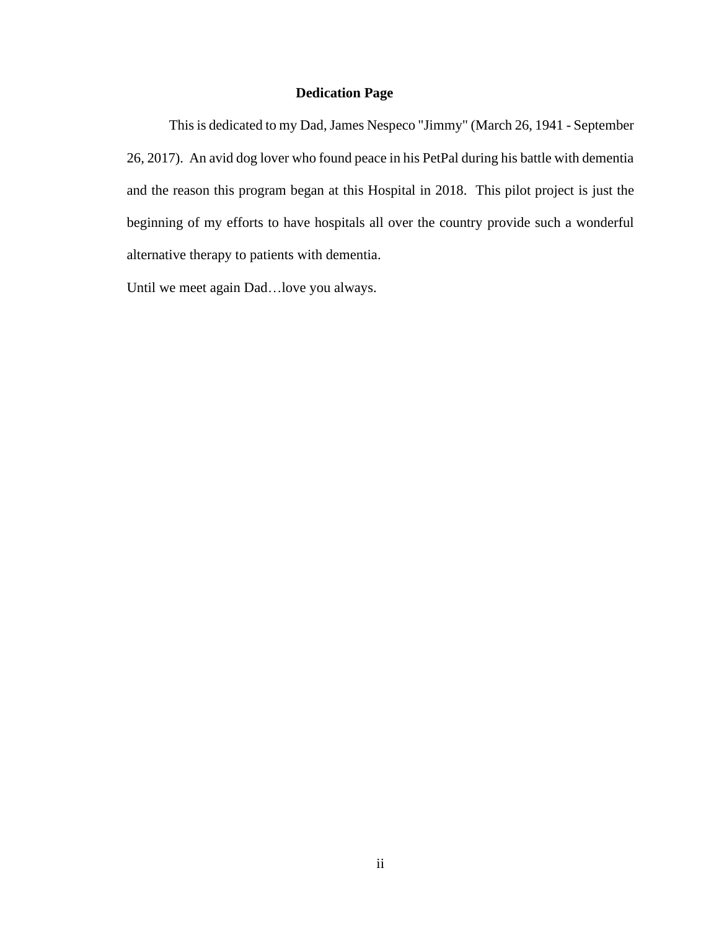## **Dedication Page**

<span id="page-3-0"></span>This is dedicated to my Dad, James Nespeco "Jimmy" (March 26, 1941 - September 26, 2017). An avid dog lover who found peace in his PetPal during his battle with dementia and the reason this program began at this Hospital in 2018. This pilot project is just the beginning of my efforts to have hospitals all over the country provide such a wonderful alternative therapy to patients with dementia.

Until we meet again Dad…love you always.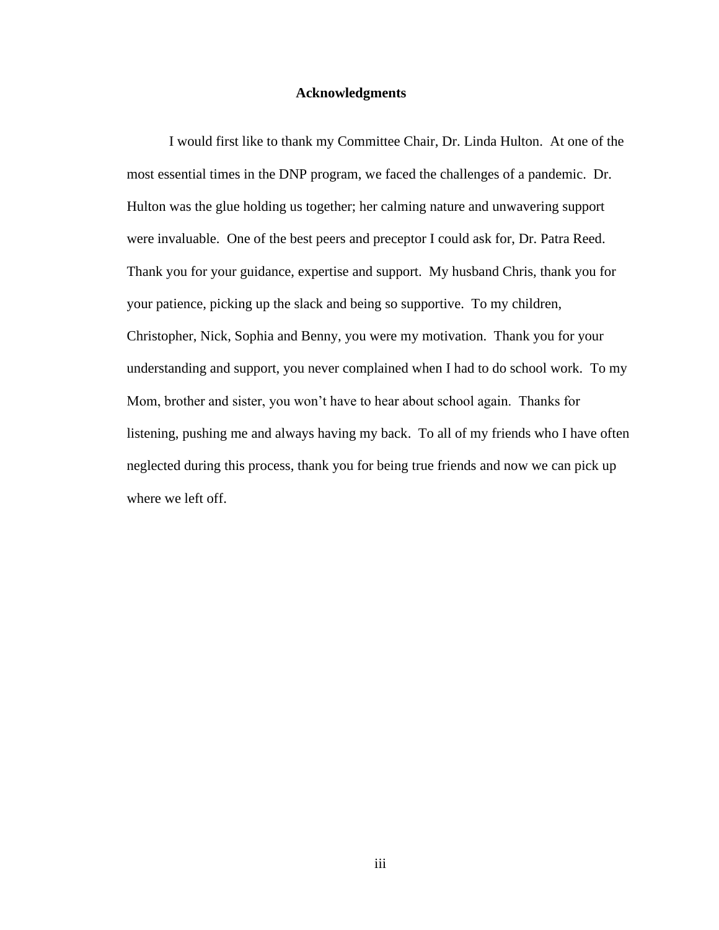#### **Acknowledgments**

<span id="page-4-0"></span>I would first like to thank my Committee Chair, Dr. Linda Hulton. At one of the most essential times in the DNP program, we faced the challenges of a pandemic. Dr. Hulton was the glue holding us together; her calming nature and unwavering support were invaluable. One of the best peers and preceptor I could ask for, Dr. Patra Reed. Thank you for your guidance, expertise and support. My husband Chris, thank you for your patience, picking up the slack and being so supportive. To my children, Christopher, Nick, Sophia and Benny, you were my motivation. Thank you for your understanding and support, you never complained when I had to do school work. To my Mom, brother and sister, you won't have to hear about school again. Thanks for listening, pushing me and always having my back. To all of my friends who I have often neglected during this process, thank you for being true friends and now we can pick up where we left off.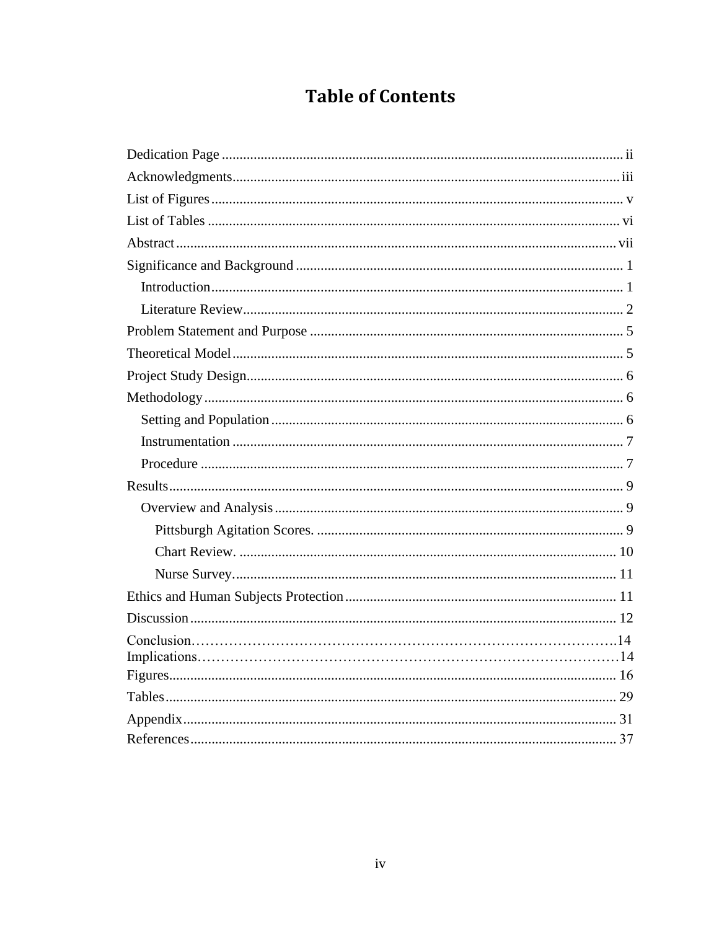# **Table of Contents**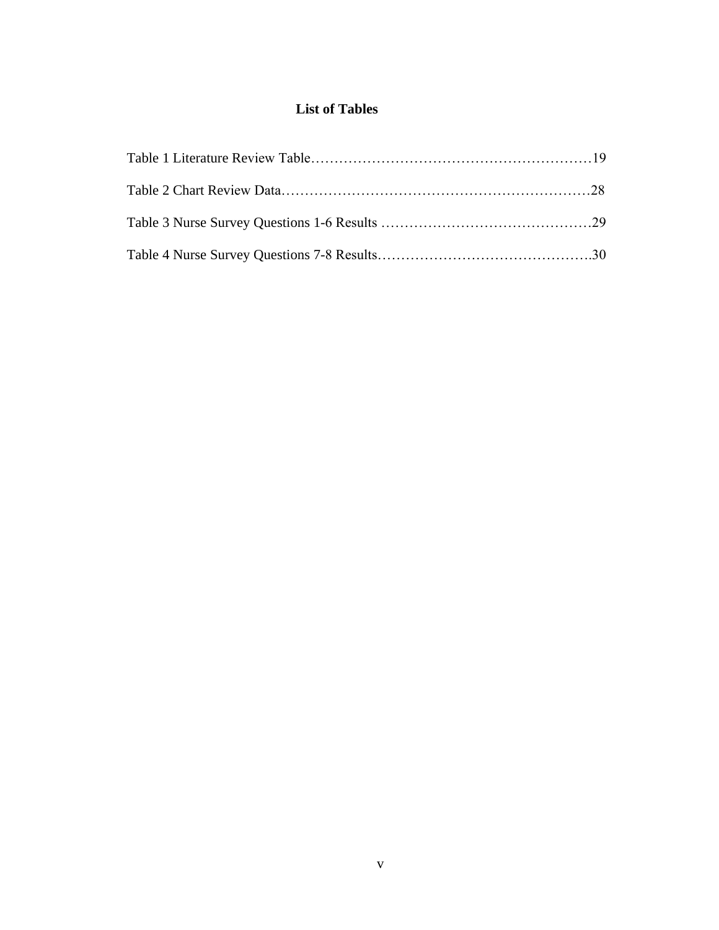# **List of Tables**

<span id="page-6-0"></span>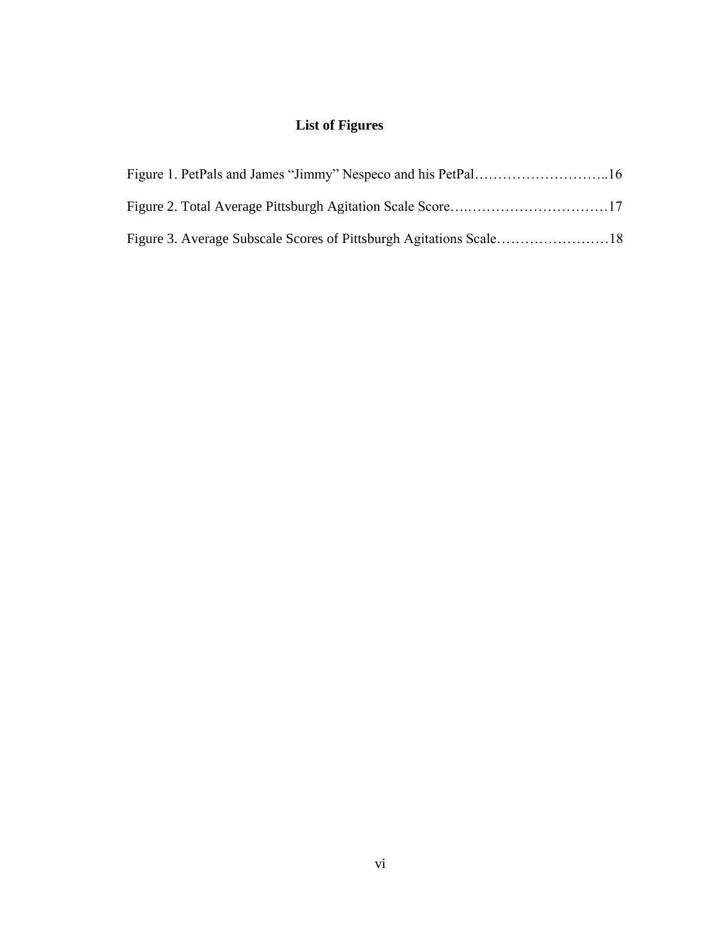# **List of Figures**

<span id="page-7-1"></span><span id="page-7-0"></span>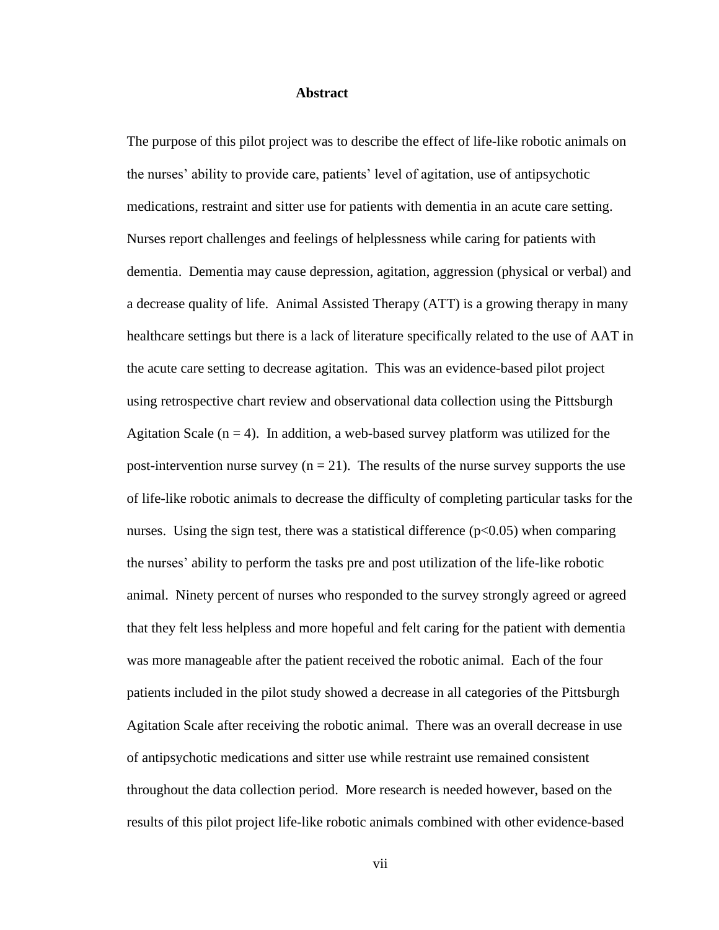#### **Abstract**

The purpose of this pilot project was to describe the effect of life-like robotic animals on the nurses' ability to provide care, patients' level of agitation, use of antipsychotic medications, restraint and sitter use for patients with dementia in an acute care setting. Nurses report challenges and feelings of helplessness while caring for patients with dementia. Dementia may cause depression, agitation, aggression (physical or verbal) and a decrease quality of life. Animal Assisted Therapy (ATT) is a growing therapy in many healthcare settings but there is a lack of literature specifically related to the use of AAT in the acute care setting to decrease agitation. This was an evidence-based pilot project using retrospective chart review and observational data collection using the Pittsburgh Agitation Scale ( $n = 4$ ). In addition, a web-based survey platform was utilized for the post-intervention nurse survey  $(n = 21)$ . The results of the nurse survey supports the use of life-like robotic animals to decrease the difficulty of completing particular tasks for the nurses. Using the sign test, there was a statistical difference  $(p<0.05)$  when comparing the nurses' ability to perform the tasks pre and post utilization of the life-like robotic animal. Ninety percent of nurses who responded to the survey strongly agreed or agreed that they felt less helpless and more hopeful and felt caring for the patient with dementia was more manageable after the patient received the robotic animal. Each of the four patients included in the pilot study showed a decrease in all categories of the Pittsburgh Agitation Scale after receiving the robotic animal. There was an overall decrease in use of antipsychotic medications and sitter use while restraint use remained consistent throughout the data collection period. More research is needed however, based on the results of this pilot project life-like robotic animals combined with other evidence-based

vii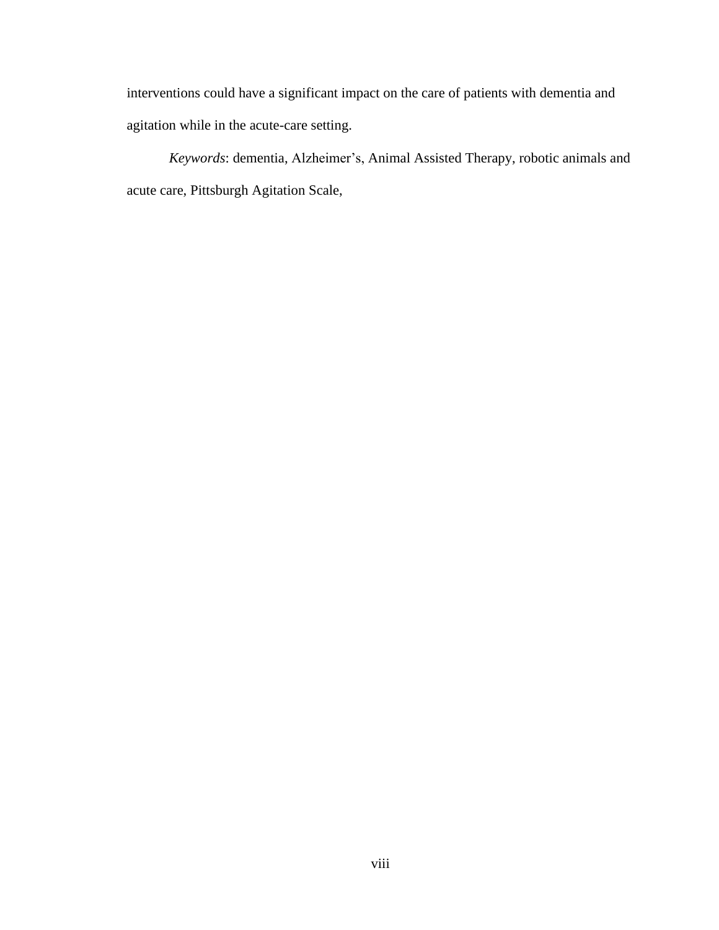interventions could have a significant impact on the care of patients with dementia and agitation while in the acute-care setting.

*Keywords*: dementia, Alzheimer's, Animal Assisted Therapy, robotic animals and acute care, Pittsburgh Agitation Scale,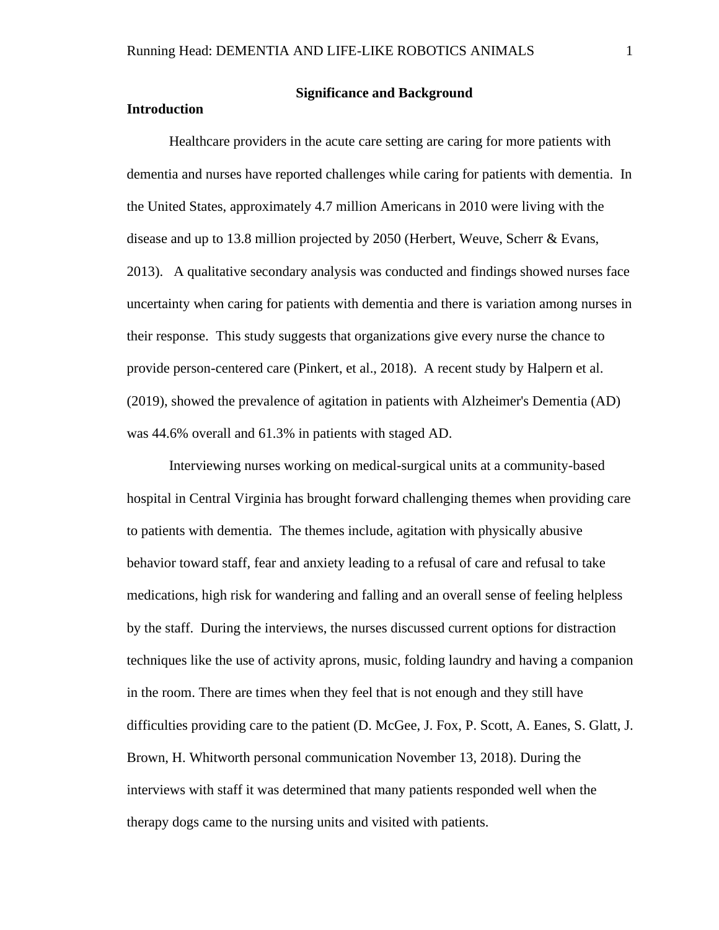## <span id="page-10-1"></span><span id="page-10-0"></span>**Introduction**

## **Significance and Background**

Healthcare providers in the acute care setting are caring for more patients with dementia and nurses have reported challenges while caring for patients with dementia. In the United States, approximately 4.7 million Americans in 2010 were living with the disease and up to 13.8 million projected by 2050 (Herbert, Weuve, Scherr & Evans, 2013). A qualitative secondary analysis was conducted and findings showed nurses face uncertainty when caring for patients with dementia and there is variation among nurses in their response. This study suggests that organizations give every nurse the chance to provide person-centered care (Pinkert, et al., 2018). A recent study by Halpern et al. (2019), showed the prevalence of agitation in patients with Alzheimer's Dementia (AD) was 44.6% overall and 61.3% in patients with staged AD.

Interviewing nurses working on medical-surgical units at a community-based hospital in Central Virginia has brought forward challenging themes when providing care to patients with dementia. The themes include, agitation with physically abusive behavior toward staff, fear and anxiety leading to a refusal of care and refusal to take medications, high risk for wandering and falling and an overall sense of feeling helpless by the staff. During the interviews, the nurses discussed current options for distraction techniques like the use of activity aprons, music, folding laundry and having a companion in the room. There are times when they feel that is not enough and they still have difficulties providing care to the patient (D. McGee, J. Fox, P. Scott, A. Eanes, S. Glatt, J. Brown, H. Whitworth personal communication November 13, 2018). During the interviews with staff it was determined that many patients responded well when the therapy dogs came to the nursing units and visited with patients.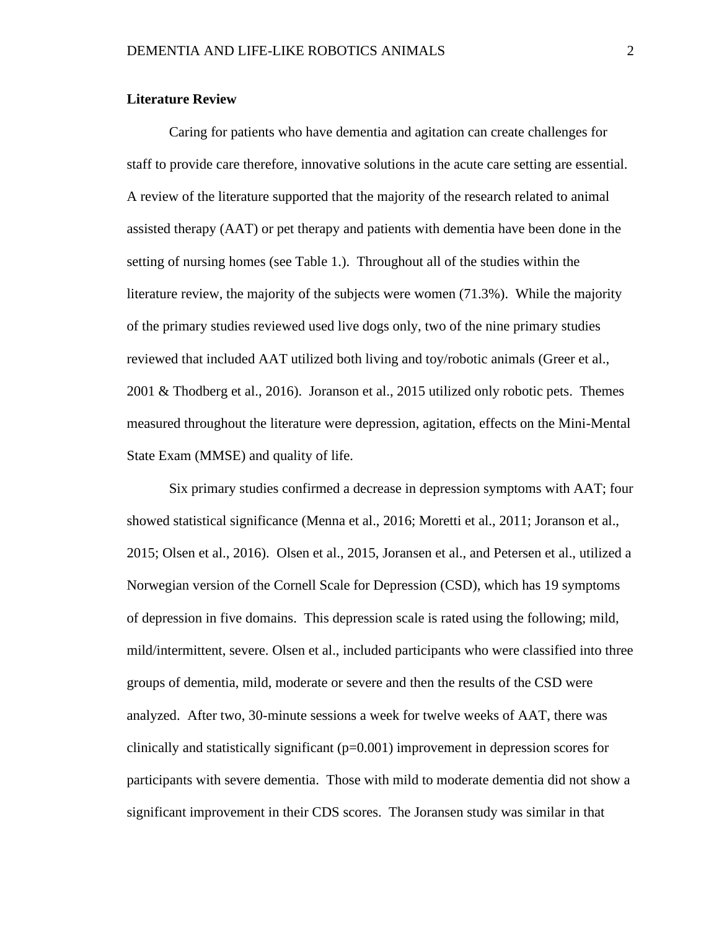#### <span id="page-11-0"></span>**Literature Review**

Caring for patients who have dementia and agitation can create challenges for staff to provide care therefore, innovative solutions in the acute care setting are essential. A review of the literature supported that the majority of the research related to animal assisted therapy (AAT) or pet therapy and patients with dementia have been done in the setting of nursing homes (see Table 1.). Throughout all of the studies within the literature review, the majority of the subjects were women (71.3%). While the majority of the primary studies reviewed used live dogs only, two of the nine primary studies reviewed that included AAT utilized both living and toy/robotic animals (Greer et al., 2001 & Thodberg et al., 2016). Joranson et al., 2015 utilized only robotic pets. Themes measured throughout the literature were depression, agitation, effects on the Mini-Mental State Exam (MMSE) and quality of life.

Six primary studies confirmed a decrease in depression symptoms with AAT; four showed statistical significance (Menna et al., 2016; Moretti et al., 2011; Joranson et al., 2015; Olsen et al., 2016). Olsen et al., 2015, Joransen et al., and Petersen et al., utilized a Norwegian version of the Cornell Scale for Depression (CSD), which has 19 symptoms of depression in five domains. This depression scale is rated using the following; mild, mild/intermittent, severe. Olsen et al., included participants who were classified into three groups of dementia, mild, moderate or severe and then the results of the CSD were analyzed. After two, 30-minute sessions a week for twelve weeks of AAT, there was clinically and statistically significant (p=0.001) improvement in depression scores for participants with severe dementia. Those with mild to moderate dementia did not show a significant improvement in their CDS scores. The Joransen study was similar in that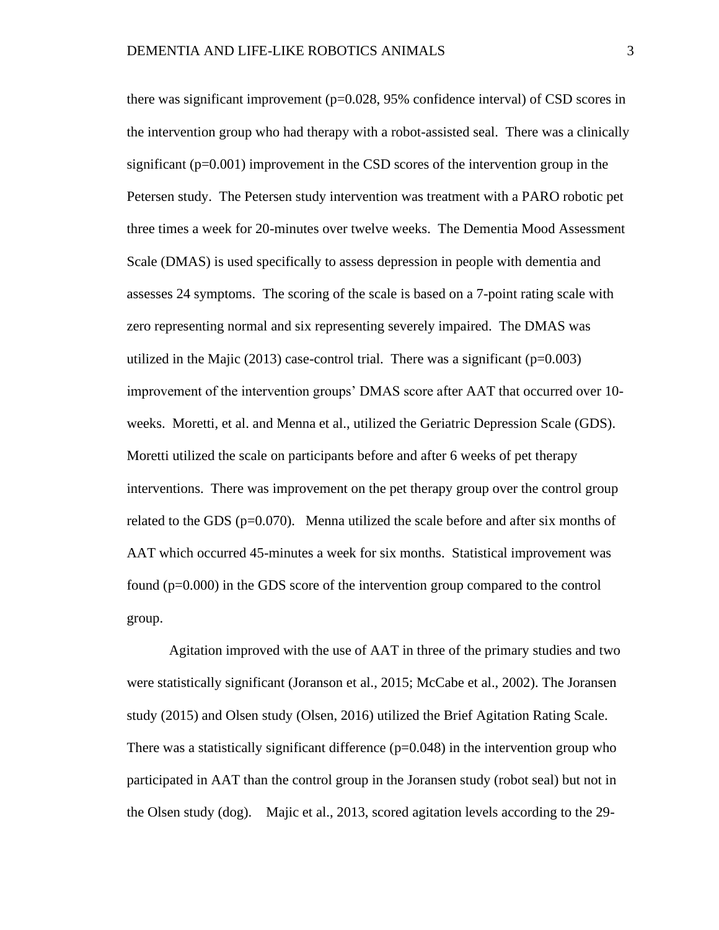there was significant improvement  $(p=0.028, 95%$  confidence interval) of CSD scores in the intervention group who had therapy with a robot-assisted seal. There was a clinically significant  $(p=0.001)$  improvement in the CSD scores of the intervention group in the Petersen study. The Petersen study intervention was treatment with a PARO robotic pet three times a week for 20-minutes over twelve weeks. The Dementia Mood Assessment Scale (DMAS) is used specifically to assess depression in people with dementia and assesses 24 symptoms. The scoring of the scale is based on a 7-point rating scale with zero representing normal and six representing severely impaired. The DMAS was utilized in the Majic (2013) case-control trial. There was a significant ( $p=0.003$ ) improvement of the intervention groups' DMAS score after AAT that occurred over 10 weeks. Moretti, et al. and Menna et al., utilized the Geriatric Depression Scale (GDS). Moretti utilized the scale on participants before and after 6 weeks of pet therapy interventions. There was improvement on the pet therapy group over the control group related to the GDS ( $p=0.070$ ). Menna utilized the scale before and after six months of AAT which occurred 45-minutes a week for six months. Statistical improvement was found (p=0.000) in the GDS score of the intervention group compared to the control group.

Agitation improved with the use of AAT in three of the primary studies and two were statistically significant (Joranson et al., 2015; McCabe et al., 2002). The Joransen study (2015) and Olsen study (Olsen, 2016) utilized the Brief Agitation Rating Scale. There was a statistically significant difference  $(p=0.048)$  in the intervention group who participated in AAT than the control group in the Joransen study (robot seal) but not in the Olsen study (dog). Majic et al., 2013, scored agitation levels according to the 29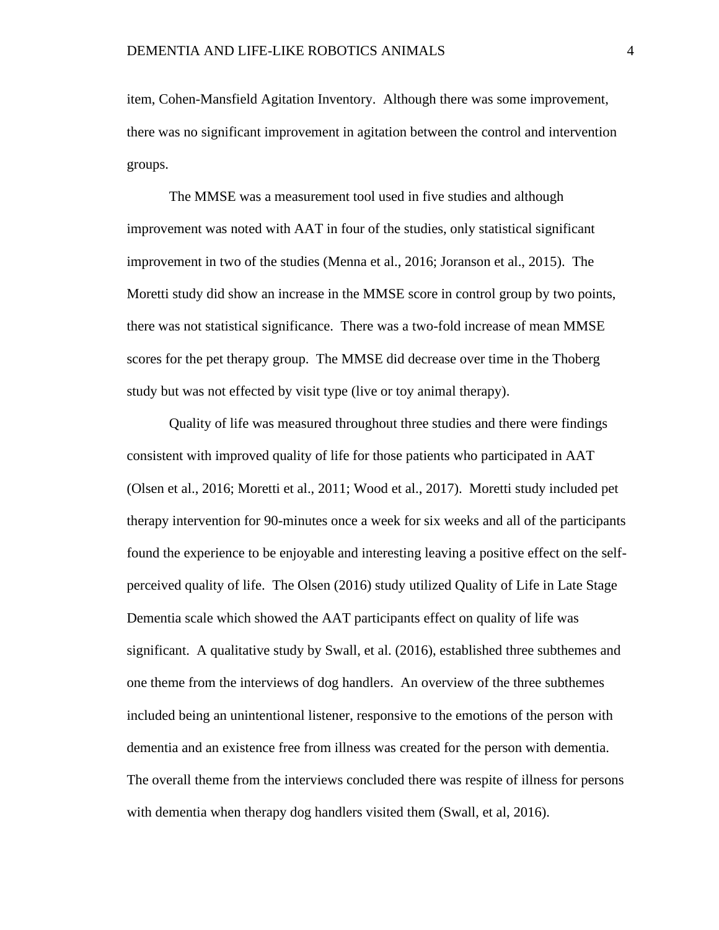item, Cohen-Mansfield Agitation Inventory. Although there was some improvement, there was no significant improvement in agitation between the control and intervention groups.

The MMSE was a measurement tool used in five studies and although improvement was noted with AAT in four of the studies, only statistical significant improvement in two of the studies (Menna et al., 2016; Joranson et al., 2015). The Moretti study did show an increase in the MMSE score in control group by two points, there was not statistical significance. There was a two-fold increase of mean MMSE scores for the pet therapy group. The MMSE did decrease over time in the Thoberg study but was not effected by visit type (live or toy animal therapy).

Quality of life was measured throughout three studies and there were findings consistent with improved quality of life for those patients who participated in AAT (Olsen et al., 2016; Moretti et al., 2011; Wood et al., 2017). Moretti study included pet therapy intervention for 90-minutes once a week for six weeks and all of the participants found the experience to be enjoyable and interesting leaving a positive effect on the selfperceived quality of life. The Olsen (2016) study utilized Quality of Life in Late Stage Dementia scale which showed the AAT participants effect on quality of life was significant. A qualitative study by Swall, et al. (2016), established three subthemes and one theme from the interviews of dog handlers. An overview of the three subthemes included being an unintentional listener, responsive to the emotions of the person with dementia and an existence free from illness was created for the person with dementia. The overall theme from the interviews concluded there was respite of illness for persons with dementia when therapy dog handlers visited them (Swall, et al, 2016).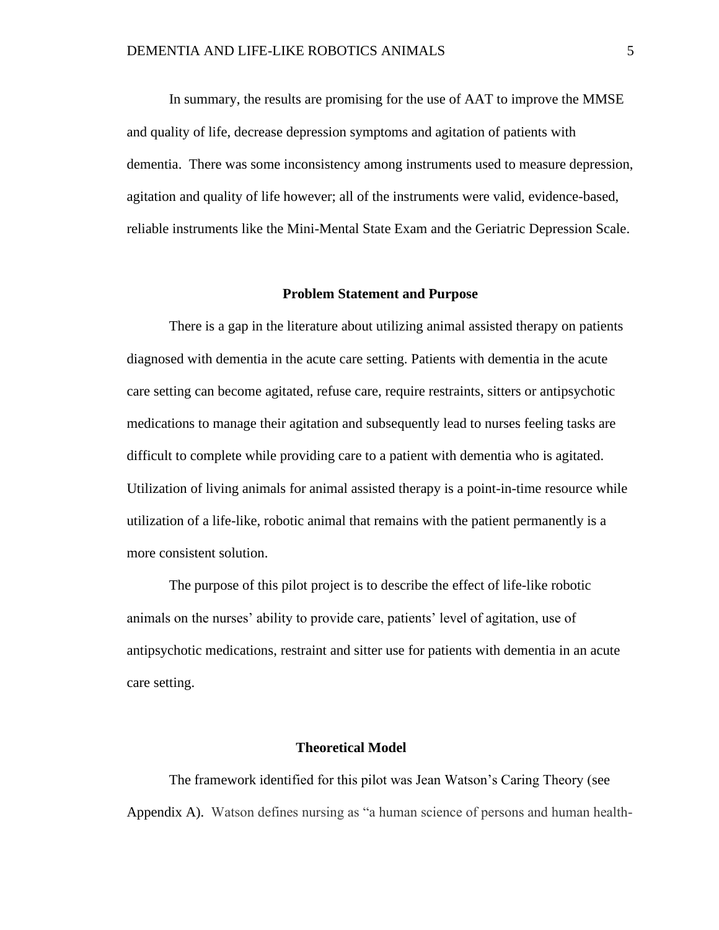In summary, the results are promising for the use of AAT to improve the MMSE and quality of life, decrease depression symptoms and agitation of patients with dementia. There was some inconsistency among instruments used to measure depression, agitation and quality of life however; all of the instruments were valid, evidence-based, reliable instruments like the Mini-Mental State Exam and the Geriatric Depression Scale.

#### **Problem Statement and Purpose**

<span id="page-14-0"></span>There is a gap in the literature about utilizing animal assisted therapy on patients diagnosed with dementia in the acute care setting. Patients with dementia in the acute care setting can become agitated, refuse care, require restraints, sitters or antipsychotic medications to manage their agitation and subsequently lead to nurses feeling tasks are difficult to complete while providing care to a patient with dementia who is agitated. Utilization of living animals for animal assisted therapy is a point-in-time resource while utilization of a life-like, robotic animal that remains with the patient permanently is a more consistent solution.

The purpose of this pilot project is to describe the effect of life-like robotic animals on the nurses' ability to provide care, patients' level of agitation, use of antipsychotic medications, restraint and sitter use for patients with dementia in an acute care setting.

#### **Theoretical Model**

<span id="page-14-1"></span>The framework identified for this pilot was Jean Watson's Caring Theory (see Appendix A). Watson defines nursing as "a human science of persons and human health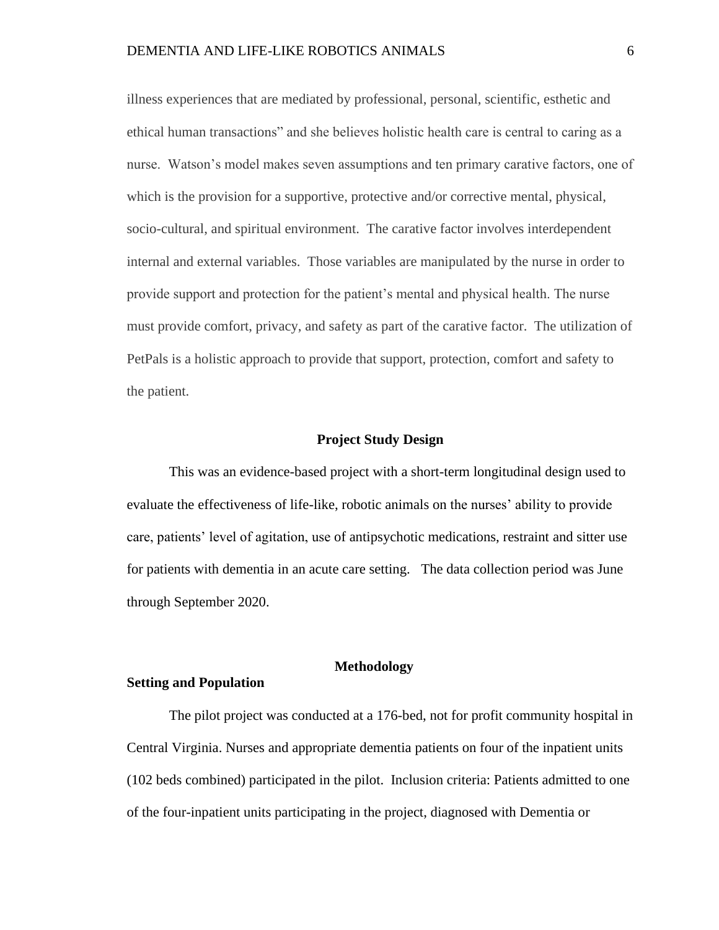illness experiences that are mediated by professional, personal, scientific, esthetic and ethical human transactions" and she believes holistic health care is central to caring as a nurse. Watson's model makes seven assumptions and ten primary carative factors, one of which is the provision for a supportive, protective and/or corrective mental, physical, socio-cultural, and spiritual environment. The carative factor involves interdependent internal and external variables. Those variables are manipulated by the nurse in order to provide support and protection for the patient's mental and physical health. The nurse must provide comfort, privacy, and safety as part of the carative factor. The utilization of PetPals is a holistic approach to provide that support, protection, comfort and safety to the patient.

#### **Project Study Design**

<span id="page-15-0"></span>This was an evidence-based project with a short-term longitudinal design used to evaluate the effectiveness of life-like, robotic animals on the nurses' ability to provide care, patients' level of agitation, use of antipsychotic medications, restraint and sitter use for patients with dementia in an acute care setting. The data collection period was June through September 2020.

## **Methodology**

#### <span id="page-15-2"></span><span id="page-15-1"></span>**Setting and Population**

The pilot project was conducted at a 176-bed, not for profit community hospital in Central Virginia. Nurses and appropriate dementia patients on four of the inpatient units (102 beds combined) participated in the pilot. Inclusion criteria: Patients admitted to one of the four-inpatient units participating in the project, diagnosed with Dementia or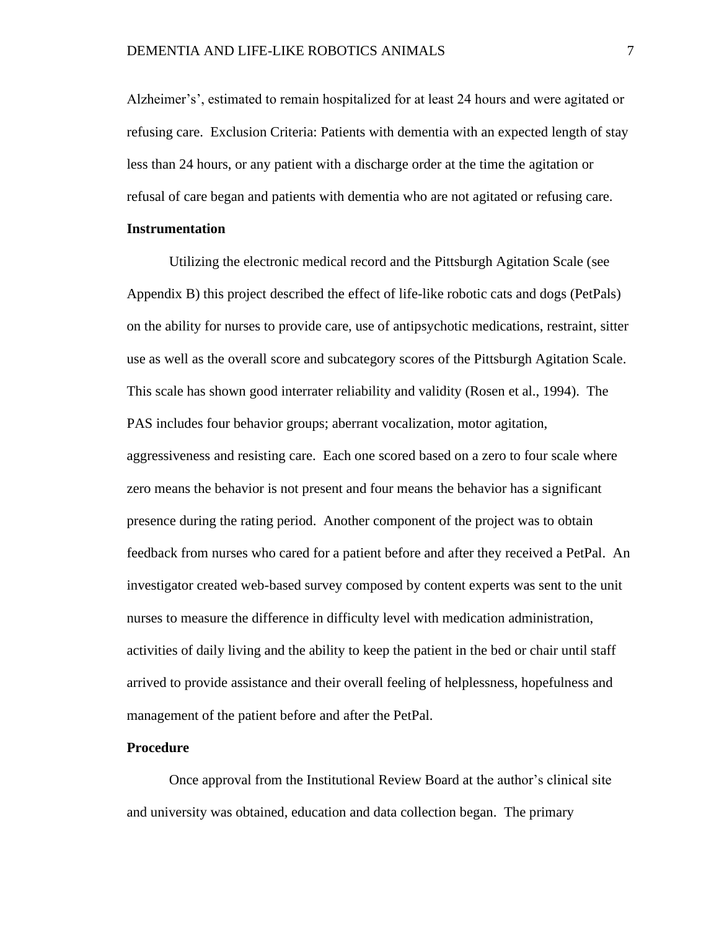Alzheimer's', estimated to remain hospitalized for at least 24 hours and were agitated or refusing care. Exclusion Criteria: Patients with dementia with an expected length of stay less than 24 hours, or any patient with a discharge order at the time the agitation or refusal of care began and patients with dementia who are not agitated or refusing care.

#### <span id="page-16-0"></span>**Instrumentation**

Utilizing the electronic medical record and the Pittsburgh Agitation Scale (see Appendix B) this project described the effect of life-like robotic cats and dogs (PetPals) on the ability for nurses to provide care, use of antipsychotic medications, restraint, sitter use as well as the overall score and subcategory scores of the Pittsburgh Agitation Scale. This scale has shown good interrater reliability and validity (Rosen et al., 1994). The PAS includes four behavior groups; aberrant vocalization, motor agitation, aggressiveness and resisting care. Each one scored based on a zero to four scale where zero means the behavior is not present and four means the behavior has a significant presence during the rating period. Another component of the project was to obtain feedback from nurses who cared for a patient before and after they received a PetPal. An investigator created web-based survey composed by content experts was sent to the unit nurses to measure the difference in difficulty level with medication administration, activities of daily living and the ability to keep the patient in the bed or chair until staff arrived to provide assistance and their overall feeling of helplessness, hopefulness and management of the patient before and after the PetPal.

#### <span id="page-16-1"></span>**Procedure**

Once approval from the Institutional Review Board at the author's clinical site and university was obtained, education and data collection began. The primary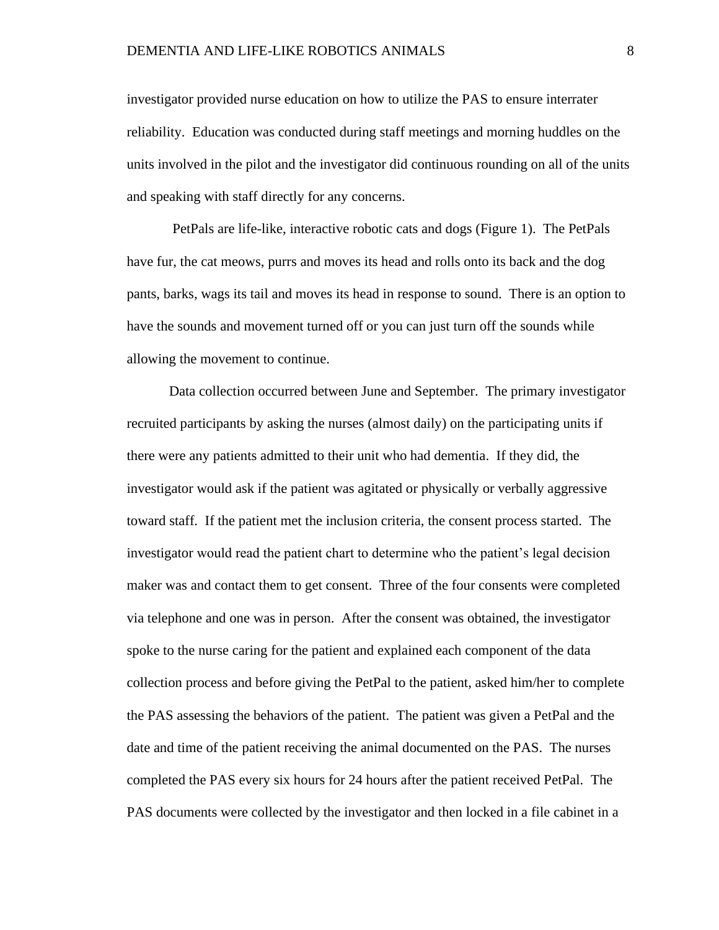investigator provided nurse education on how to utilize the PAS to ensure interrater reliability. Education was conducted during staff meetings and morning huddles on the units involved in the pilot and the investigator did continuous rounding on all of the units and speaking with staff directly for any concerns.

PetPals are life-like, interactive robotic cats and dogs (Figure 1). The PetPals have fur, the cat meows, purrs and moves its head and rolls onto its back and the dog pants, barks, wags its tail and moves its head in response to sound. There is an option to have the sounds and movement turned off or you can just turn off the sounds while allowing the movement to continue.

Data collection occurred between June and September. The primary investigator recruited participants by asking the nurses (almost daily) on the participating units if there were any patients admitted to their unit who had dementia. If they did, the investigator would ask if the patient was agitated or physically or verbally aggressive toward staff. If the patient met the inclusion criteria, the consent process started. The investigator would read the patient chart to determine who the patient's legal decision maker was and contact them to get consent. Three of the four consents were completed via telephone and one was in person. After the consent was obtained, the investigator spoke to the nurse caring for the patient and explained each component of the data collection process and before giving the PetPal to the patient, asked him/her to complete the PAS assessing the behaviors of the patient. The patient was given a PetPal and the date and time of the patient receiving the animal documented on the PAS. The nurses completed the PAS every six hours for 24 hours after the patient received PetPal. The PAS documents were collected by the investigator and then locked in a file cabinet in a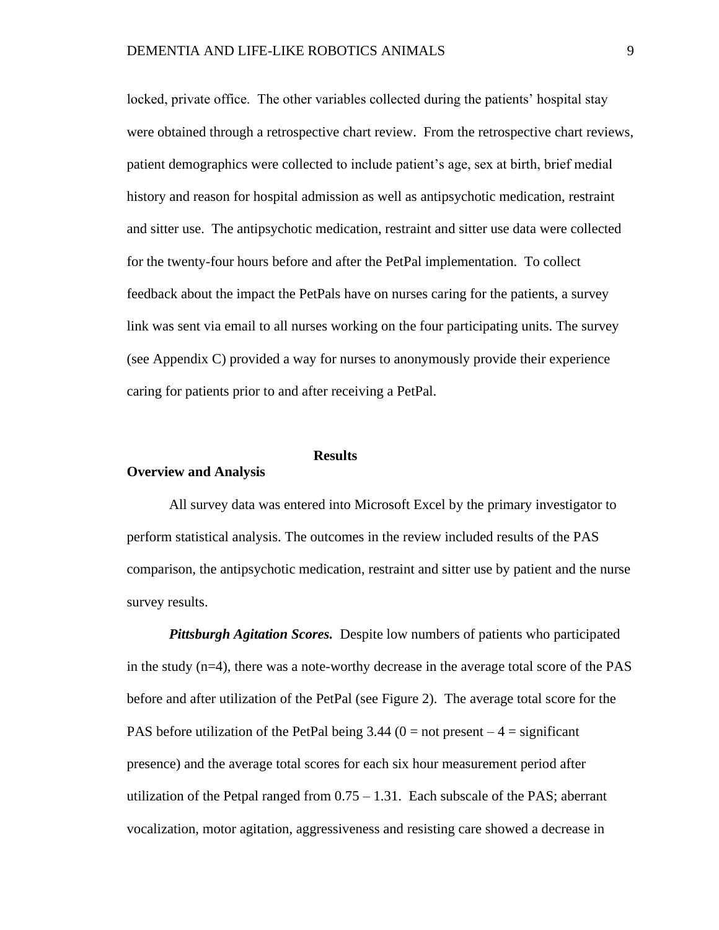locked, private office. The other variables collected during the patients' hospital stay were obtained through a retrospective chart review. From the retrospective chart reviews, patient demographics were collected to include patient's age, sex at birth, brief medial history and reason for hospital admission as well as antipsychotic medication, restraint and sitter use. The antipsychotic medication, restraint and sitter use data were collected for the twenty-four hours before and after the PetPal implementation. To collect feedback about the impact the PetPals have on nurses caring for the patients, a survey link was sent via email to all nurses working on the four participating units. The survey (see Appendix C) provided a way for nurses to anonymously provide their experience caring for patients prior to and after receiving a PetPal.

## **Results**

#### <span id="page-18-1"></span><span id="page-18-0"></span>**Overview and Analysis**

All survey data was entered into Microsoft Excel by the primary investigator to perform statistical analysis. The outcomes in the review included results of the PAS comparison, the antipsychotic medication, restraint and sitter use by patient and the nurse survey results.

<span id="page-18-2"></span>*Pittsburgh Agitation Scores.* Despite low numbers of patients who participated in the study  $(n=4)$ , there was a note-worthy decrease in the average total score of the PAS before and after utilization of the PetPal (see Figure 2). The average total score for the PAS before utilization of the PetPal being  $3.44$  (0 = not present  $-4$  = significant presence) and the average total scores for each six hour measurement period after utilization of the Petpal ranged from  $0.75 - 1.31$ . Each subscale of the PAS; aberrant vocalization, motor agitation, aggressiveness and resisting care showed a decrease in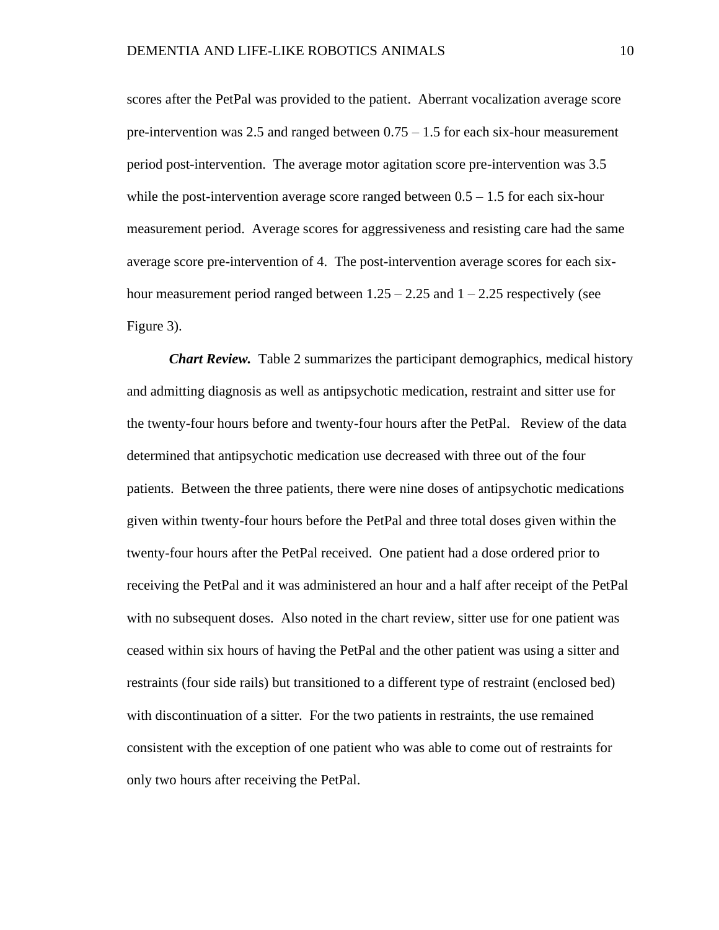scores after the PetPal was provided to the patient. Aberrant vocalization average score pre-intervention was 2.5 and ranged between 0.75 – 1.5 for each six-hour measurement period post-intervention. The average motor agitation score pre-intervention was 3.5 while the post-intervention average score ranged between  $0.5 - 1.5$  for each six-hour measurement period. Average scores for aggressiveness and resisting care had the same average score pre-intervention of 4. The post-intervention average scores for each sixhour measurement period ranged between  $1.25 - 2.25$  and  $1 - 2.25$  respectively (see Figure 3).

<span id="page-19-0"></span>*Chart Review.* Table 2 summarizes the participant demographics, medical history and admitting diagnosis as well as antipsychotic medication, restraint and sitter use for the twenty-four hours before and twenty-four hours after the PetPal. Review of the data determined that antipsychotic medication use decreased with three out of the four patients. Between the three patients, there were nine doses of antipsychotic medications given within twenty-four hours before the PetPal and three total doses given within the twenty-four hours after the PetPal received. One patient had a dose ordered prior to receiving the PetPal and it was administered an hour and a half after receipt of the PetPal with no subsequent doses. Also noted in the chart review, sitter use for one patient was ceased within six hours of having the PetPal and the other patient was using a sitter and restraints (four side rails) but transitioned to a different type of restraint (enclosed bed) with discontinuation of a sitter. For the two patients in restraints, the use remained consistent with the exception of one patient who was able to come out of restraints for only two hours after receiving the PetPal.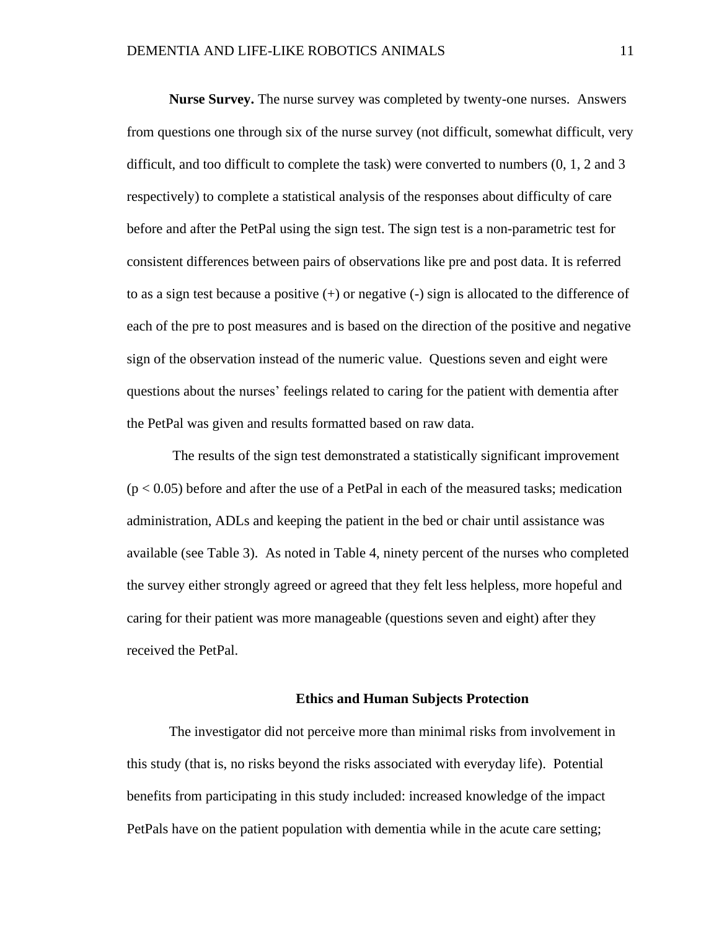<span id="page-20-0"></span>**Nurse Survey.** The nurse survey was completed by twenty-one nurses. Answers from questions one through six of the nurse survey (not difficult, somewhat difficult, very difficult, and too difficult to complete the task) were converted to numbers (0, 1, 2 and 3 respectively) to complete a statistical analysis of the responses about difficulty of care before and after the PetPal using the sign test. The sign test is a non-parametric test for consistent differences between pairs of observations like pre and post data. It is referred to as a sign test because a positive  $(+)$  or negative  $(-)$  sign is allocated to the difference of each of the pre to post measures and is based on the direction of the positive and negative sign of the observation instead of the numeric value. Questions seven and eight were questions about the nurses' feelings related to caring for the patient with dementia after the PetPal was given and results formatted based on raw data.

The results of the sign test demonstrated a statistically significant improvement  $(p < 0.05)$  before and after the use of a PetPal in each of the measured tasks; medication administration, ADLs and keeping the patient in the bed or chair until assistance was available (see Table 3). As noted in Table 4, ninety percent of the nurses who completed the survey either strongly agreed or agreed that they felt less helpless, more hopeful and caring for their patient was more manageable (questions seven and eight) after they received the PetPal.

#### **Ethics and Human Subjects Protection**

<span id="page-20-1"></span>The investigator did not perceive more than minimal risks from involvement in this study (that is, no risks beyond the risks associated with everyday life). Potential benefits from participating in this study included: increased knowledge of the impact PetPals have on the patient population with dementia while in the acute care setting;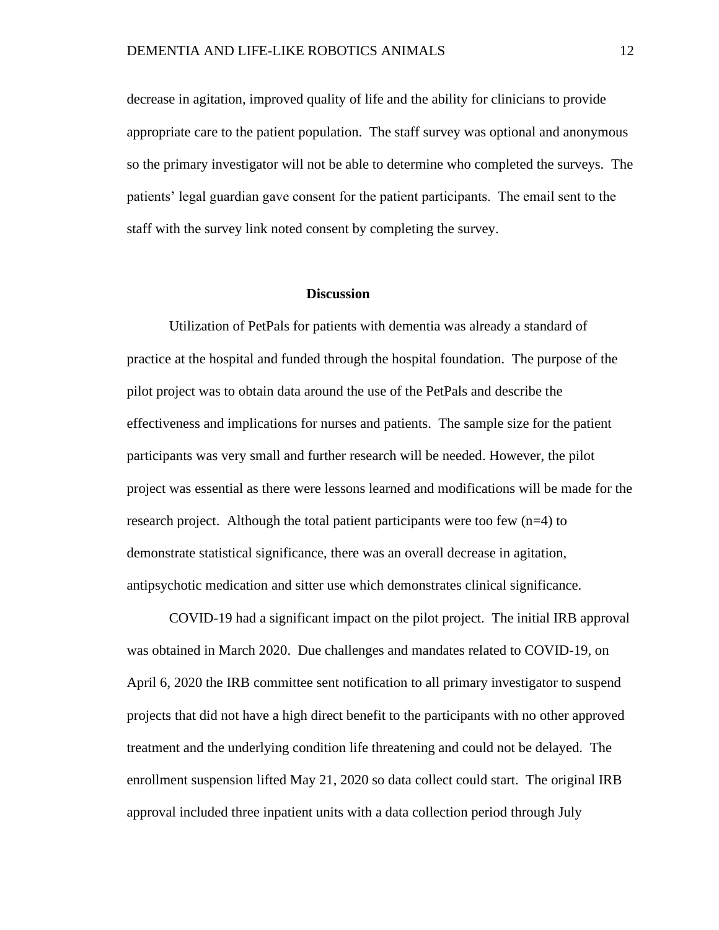decrease in agitation, improved quality of life and the ability for clinicians to provide appropriate care to the patient population. The staff survey was optional and anonymous so the primary investigator will not be able to determine who completed the surveys. The patients' legal guardian gave consent for the patient participants. The email sent to the staff with the survey link noted consent by completing the survey.

#### **Discussion**

<span id="page-21-0"></span>Utilization of PetPals for patients with dementia was already a standard of practice at the hospital and funded through the hospital foundation. The purpose of the pilot project was to obtain data around the use of the PetPals and describe the effectiveness and implications for nurses and patients. The sample size for the patient participants was very small and further research will be needed. However, the pilot project was essential as there were lessons learned and modifications will be made for the research project. Although the total patient participants were too few (n=4) to demonstrate statistical significance, there was an overall decrease in agitation, antipsychotic medication and sitter use which demonstrates clinical significance.

COVID-19 had a significant impact on the pilot project. The initial IRB approval was obtained in March 2020. Due challenges and mandates related to COVID-19, on April 6, 2020 the IRB committee sent notification to all primary investigator to suspend projects that did not have a high direct benefit to the participants with no other approved treatment and the underlying condition life threatening and could not be delayed. The enrollment suspension lifted May 21, 2020 so data collect could start. The original IRB approval included three inpatient units with a data collection period through July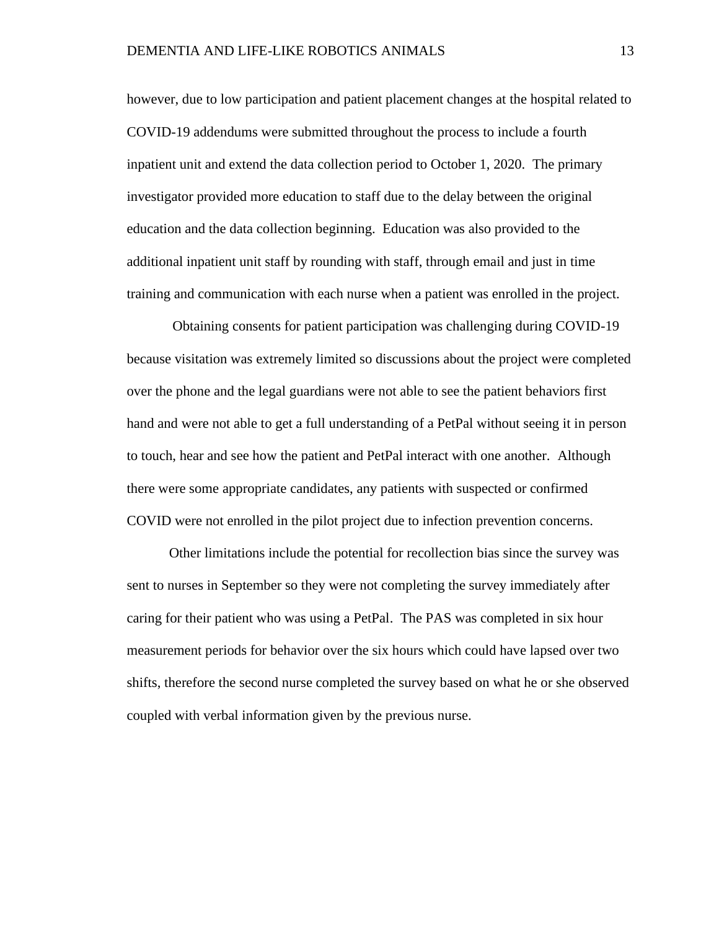however, due to low participation and patient placement changes at the hospital related to COVID-19 addendums were submitted throughout the process to include a fourth inpatient unit and extend the data collection period to October 1, 2020. The primary investigator provided more education to staff due to the delay between the original education and the data collection beginning. Education was also provided to the additional inpatient unit staff by rounding with staff, through email and just in time training and communication with each nurse when a patient was enrolled in the project.

Obtaining consents for patient participation was challenging during COVID-19 because visitation was extremely limited so discussions about the project were completed over the phone and the legal guardians were not able to see the patient behaviors first hand and were not able to get a full understanding of a PetPal without seeing it in person to touch, hear and see how the patient and PetPal interact with one another. Although there were some appropriate candidates, any patients with suspected or confirmed COVID were not enrolled in the pilot project due to infection prevention concerns.

Other limitations include the potential for recollection bias since the survey was sent to nurses in September so they were not completing the survey immediately after caring for their patient who was using a PetPal. The PAS was completed in six hour measurement periods for behavior over the six hours which could have lapsed over two shifts, therefore the second nurse completed the survey based on what he or she observed coupled with verbal information given by the previous nurse.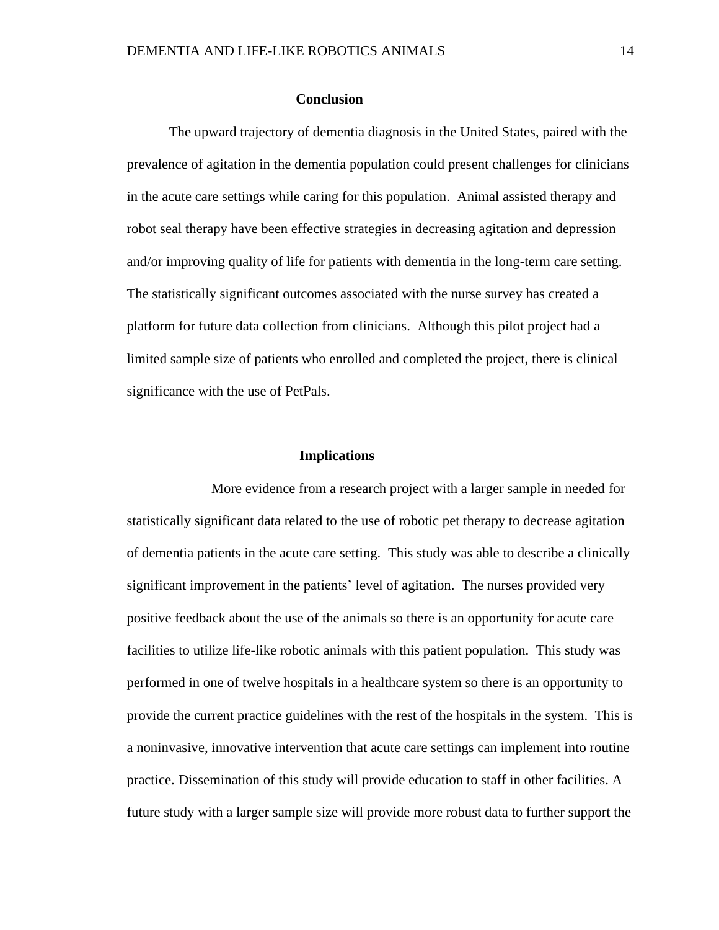#### **Conclusion**

The upward trajectory of dementia diagnosis in the United States, paired with the prevalence of agitation in the dementia population could present challenges for clinicians in the acute care settings while caring for this population. Animal assisted therapy and robot seal therapy have been effective strategies in decreasing agitation and depression and/or improving quality of life for patients with dementia in the long-term care setting. The statistically significant outcomes associated with the nurse survey has created a platform for future data collection from clinicians. Although this pilot project had a limited sample size of patients who enrolled and completed the project, there is clinical significance with the use of PetPals.

#### **Implications**

More evidence from a research project with a larger sample in needed for statistically significant data related to the use of robotic pet therapy to decrease agitation of dementia patients in the acute care setting. This study was able to describe a clinically significant improvement in the patients' level of agitation. The nurses provided very positive feedback about the use of the animals so there is an opportunity for acute care facilities to utilize life-like robotic animals with this patient population. This study was performed in one of twelve hospitals in a healthcare system so there is an opportunity to provide the current practice guidelines with the rest of the hospitals in the system. This is a noninvasive, innovative intervention that acute care settings can implement into routine practice. Dissemination of this study will provide education to staff in other facilities. A future study with a larger sample size will provide more robust data to further support the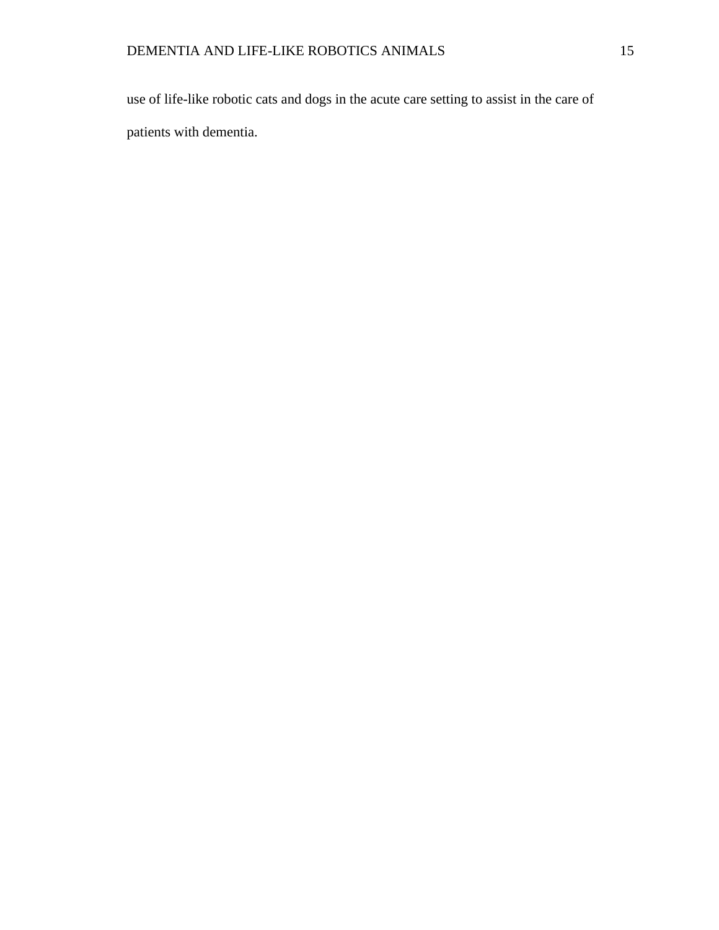<span id="page-24-0"></span>use of life-like robotic cats and dogs in the acute care setting to assist in the care of patients with dementia.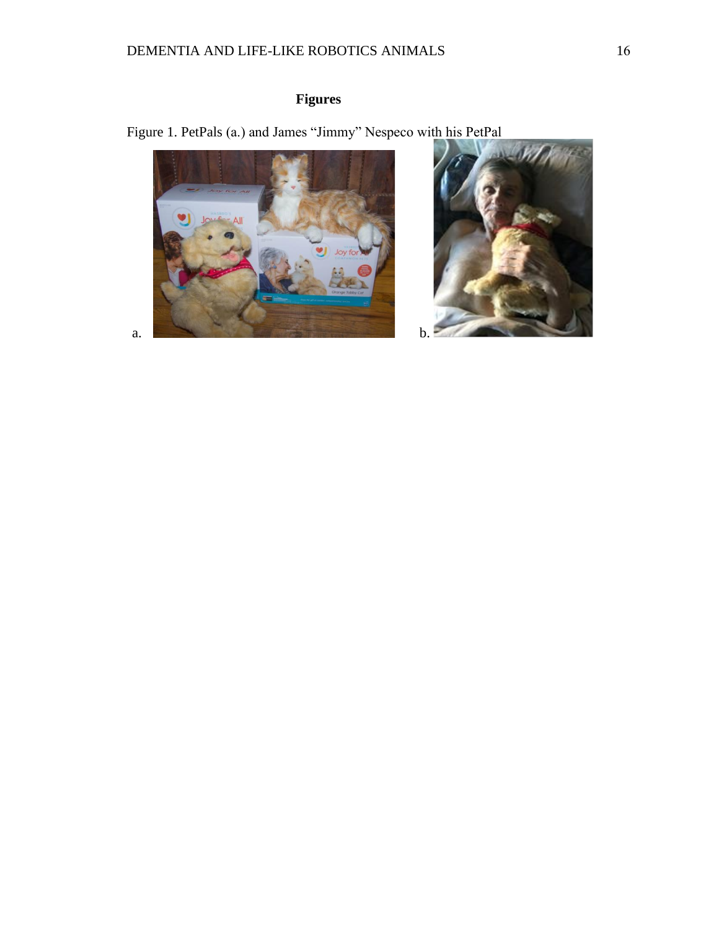# **Figures**

<span id="page-25-0"></span>Figure 1. PetPals (a.) and James "Jimmy" Nespeco with his PetPal



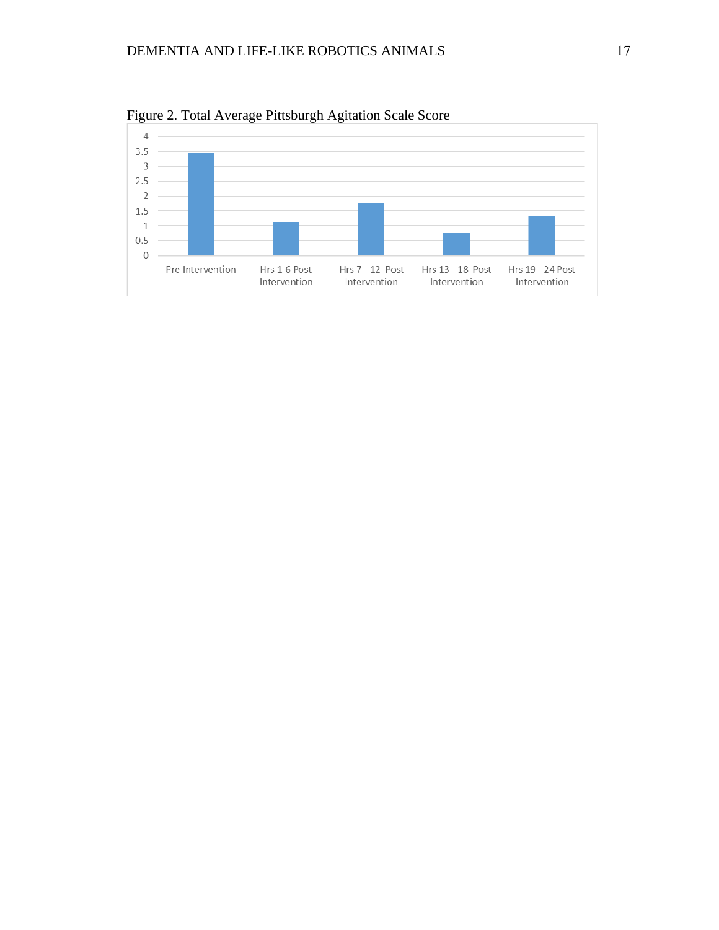

Figure 2. Total Average Pittsburgh Agitation Scale Score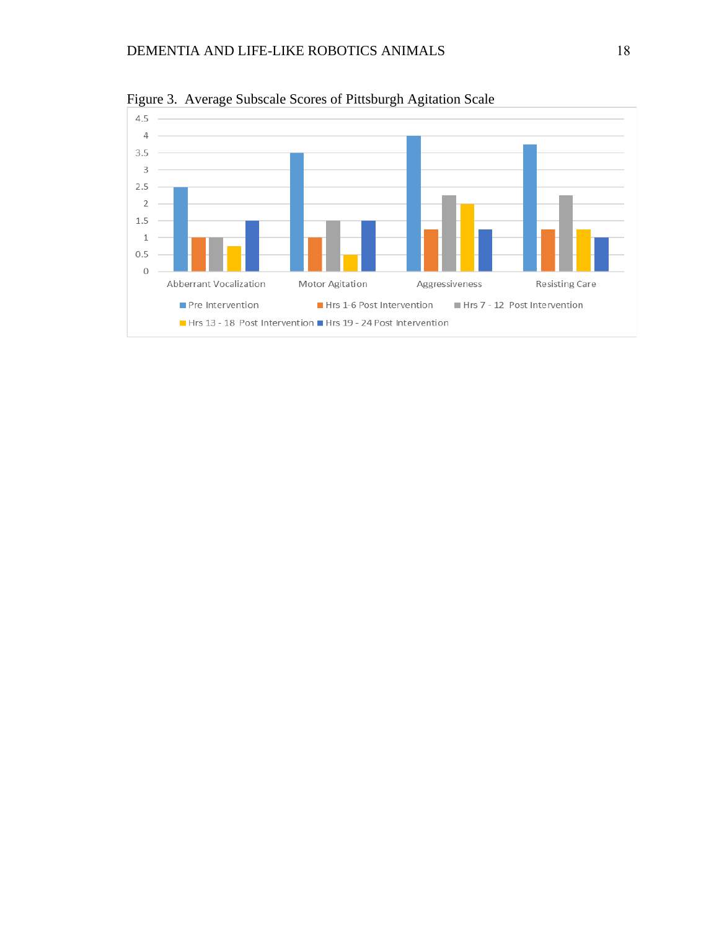<span id="page-27-0"></span>

Figure 3. Average Subscale Scores of Pittsburgh Agitation Scale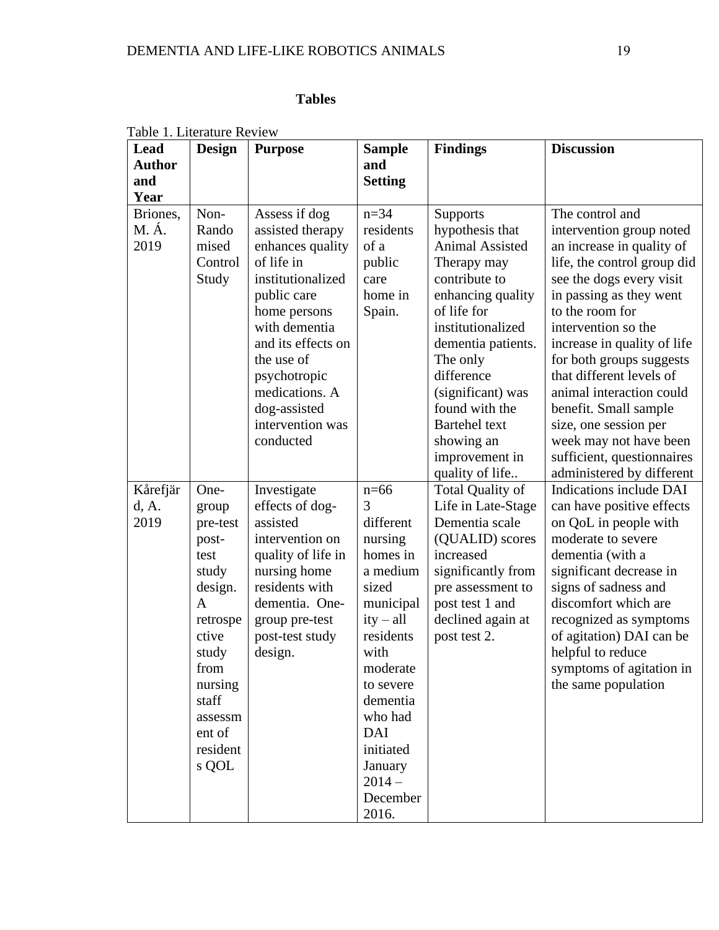# **Tables**

| Table 1. Literature Review<br><b>Lead</b><br><b>Author</b><br>and<br>Year | <b>Design</b>                                                                                                                                                           | <b>Purpose</b>                                                                                                                                                                                                                                                  | <b>Sample</b><br>and<br><b>Setting</b>                                                                                                                                                                                                | <b>Findings</b>                                                                                                                                                                                                                                                                                                         | <b>Discussion</b>                                                                                                                                                                                                                                                                                                                                                                                                                                                  |
|---------------------------------------------------------------------------|-------------------------------------------------------------------------------------------------------------------------------------------------------------------------|-----------------------------------------------------------------------------------------------------------------------------------------------------------------------------------------------------------------------------------------------------------------|---------------------------------------------------------------------------------------------------------------------------------------------------------------------------------------------------------------------------------------|-------------------------------------------------------------------------------------------------------------------------------------------------------------------------------------------------------------------------------------------------------------------------------------------------------------------------|--------------------------------------------------------------------------------------------------------------------------------------------------------------------------------------------------------------------------------------------------------------------------------------------------------------------------------------------------------------------------------------------------------------------------------------------------------------------|
| Briones,<br>M. Á.<br>2019                                                 | Non-<br>Rando<br>mised<br>Control<br>Study                                                                                                                              | Assess if dog<br>assisted therapy<br>enhances quality<br>of life in<br>institutionalized<br>public care<br>home persons<br>with dementia<br>and its effects on<br>the use of<br>psychotropic<br>medications. A<br>dog-assisted<br>intervention was<br>conducted | $n = 34$<br>residents<br>of a<br>public<br>care<br>home in<br>Spain.                                                                                                                                                                  | <b>Supports</b><br>hypothesis that<br><b>Animal Assisted</b><br>Therapy may<br>contribute to<br>enhancing quality<br>of life for<br>institutionalized<br>dementia patients.<br>The only<br>difference<br>(significant) was<br>found with the<br><b>Bartehel</b> text<br>showing an<br>improvement in<br>quality of life | The control and<br>intervention group noted<br>an increase in quality of<br>life, the control group did<br>see the dogs every visit<br>in passing as they went<br>to the room for<br>intervention so the<br>increase in quality of life<br>for both groups suggests<br>that different levels of<br>animal interaction could<br>benefit. Small sample<br>size, one session per<br>week may not have been<br>sufficient, questionnaires<br>administered by different |
| Kårefjär<br>d, A.<br>2019                                                 | One-<br>group<br>pre-test<br>post-<br>test<br>study<br>design.<br>A<br>retrospe<br>ctive<br>study<br>from<br>nursing<br>staff<br>assessm<br>ent of<br>resident<br>s QOL | Investigate<br>effects of dog-<br>assisted<br>intervention on<br>quality of life in<br>nursing home<br>residents with<br>dementia. One-<br>group pre-test<br>post-test study<br>design.                                                                         | $n=66$<br>3<br>different<br>nursing<br>homes in<br>a medium<br>sized<br>municipal<br>$ity - all$<br>residents<br>with<br>moderate<br>to severe<br>dementia<br>who had<br>DAI<br>initiated<br>January<br>$2014 -$<br>December<br>2016. | <b>Total Quality of</b><br>Life in Late-Stage<br>Dementia scale<br>(QUALID) scores<br>increased<br>significantly from<br>pre assessment to<br>post test 1 and<br>declined again at<br>post test 2.                                                                                                                      | Indications include DAI<br>can have positive effects<br>on QoL in people with<br>moderate to severe<br>dementia (with a<br>significant decrease in<br>signs of sadness and<br>discomfort which are<br>recognized as symptoms<br>of agitation) DAI can be<br>helpful to reduce<br>symptoms of agitation in<br>the same population                                                                                                                                   |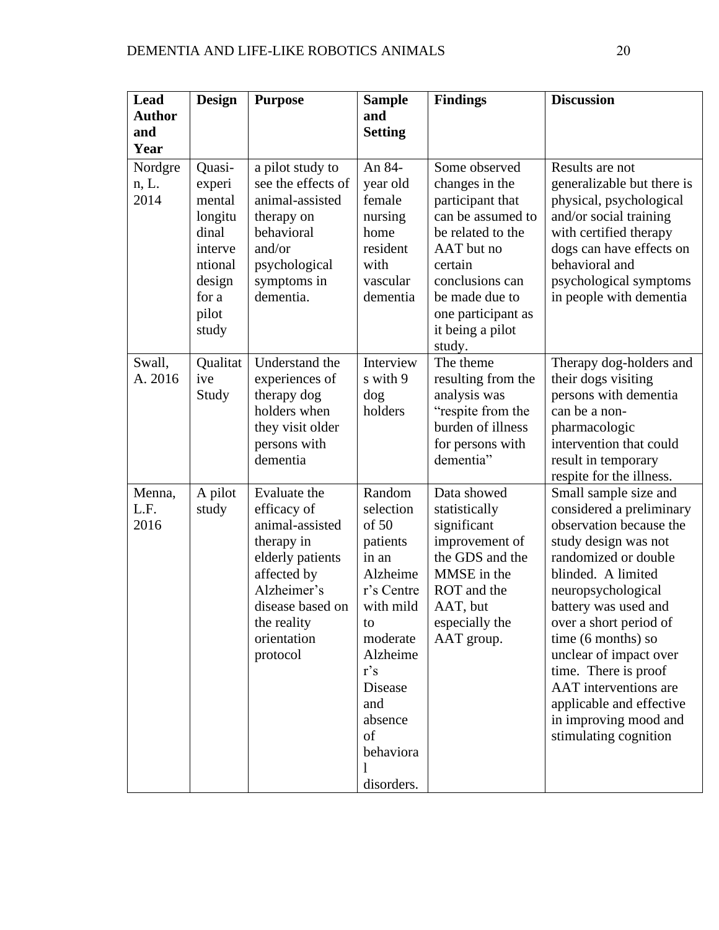| Lead<br><b>Author</b><br>and | <b>Design</b>                                | <b>Purpose</b>                                                                                                                                                               | <b>Sample</b><br>and<br><b>Setting</b>                                                                                                                                                         | <b>Findings</b>                                                                                                                                            | <b>Discussion</b>                                                                                                                                                                                                                                                                                                                                                                                                |
|------------------------------|----------------------------------------------|------------------------------------------------------------------------------------------------------------------------------------------------------------------------------|------------------------------------------------------------------------------------------------------------------------------------------------------------------------------------------------|------------------------------------------------------------------------------------------------------------------------------------------------------------|------------------------------------------------------------------------------------------------------------------------------------------------------------------------------------------------------------------------------------------------------------------------------------------------------------------------------------------------------------------------------------------------------------------|
| Year<br>Nordgre<br>n, L.     | Quasi-<br>experi                             | a pilot study to<br>see the effects of                                                                                                                                       | An 84-<br>year old                                                                                                                                                                             | Some observed<br>changes in the                                                                                                                            | Results are not<br>generalizable but there is                                                                                                                                                                                                                                                                                                                                                                    |
| 2014                         | mental<br>longitu<br>dinal<br>interve        | animal-assisted<br>therapy on<br>behavioral<br>and/or                                                                                                                        | female<br>nursing<br>home<br>resident                                                                                                                                                          | participant that<br>can be assumed to<br>be related to the<br>AAT but no                                                                                   | physical, psychological<br>and/or social training<br>with certified therapy<br>dogs can have effects on                                                                                                                                                                                                                                                                                                          |
|                              | ntional<br>design<br>for a<br>pilot<br>study | psychological<br>symptoms in<br>dementia.                                                                                                                                    | with<br>vascular<br>dementia                                                                                                                                                                   | certain<br>conclusions can<br>be made due to<br>one participant as<br>it being a pilot<br>study.                                                           | behavioral and<br>psychological symptoms<br>in people with dementia                                                                                                                                                                                                                                                                                                                                              |
| Swall,<br>A. 2016            | Qualitat<br>ive<br>Study                     | Understand the<br>experiences of<br>therapy dog<br>holders when<br>they visit older<br>persons with<br>dementia                                                              | Interview<br>s with 9<br>dog<br>holders                                                                                                                                                        | The theme<br>resulting from the<br>analysis was<br>"respite from the<br>burden of illness<br>for persons with<br>dementia"                                 | Therapy dog-holders and<br>their dogs visiting<br>persons with dementia<br>can be a non-<br>pharmacologic<br>intervention that could<br>result in temporary<br>respite for the illness.                                                                                                                                                                                                                          |
| Menna,<br>L.F.<br>2016       | A pilot<br>study                             | Evaluate the<br>efficacy of<br>animal-assisted<br>therapy in<br>elderly patients<br>affected by<br>Alzheimer's<br>disease based on<br>the reality<br>orientation<br>protocol | Random<br>selection<br>of 50<br>patients<br>in an<br>Alzheime<br>r's Centre<br>with mild<br>to<br>moderate<br>Alzheime<br>$r$ 's<br>Disease<br>and<br>absence<br>of<br>behaviora<br>disorders. | Data showed<br>statistically<br>significant<br>improvement of<br>the GDS and the<br>MMSE in the<br>ROT and the<br>AAT, but<br>especially the<br>AAT group. | Small sample size and<br>considered a preliminary<br>observation because the<br>study design was not<br>randomized or double<br>blinded. A limited<br>neuropsychological<br>battery was used and<br>over a short period of<br>time (6 months) so<br>unclear of impact over<br>time. There is proof<br><b>AAT</b> interventions are<br>applicable and effective<br>in improving mood and<br>stimulating cognition |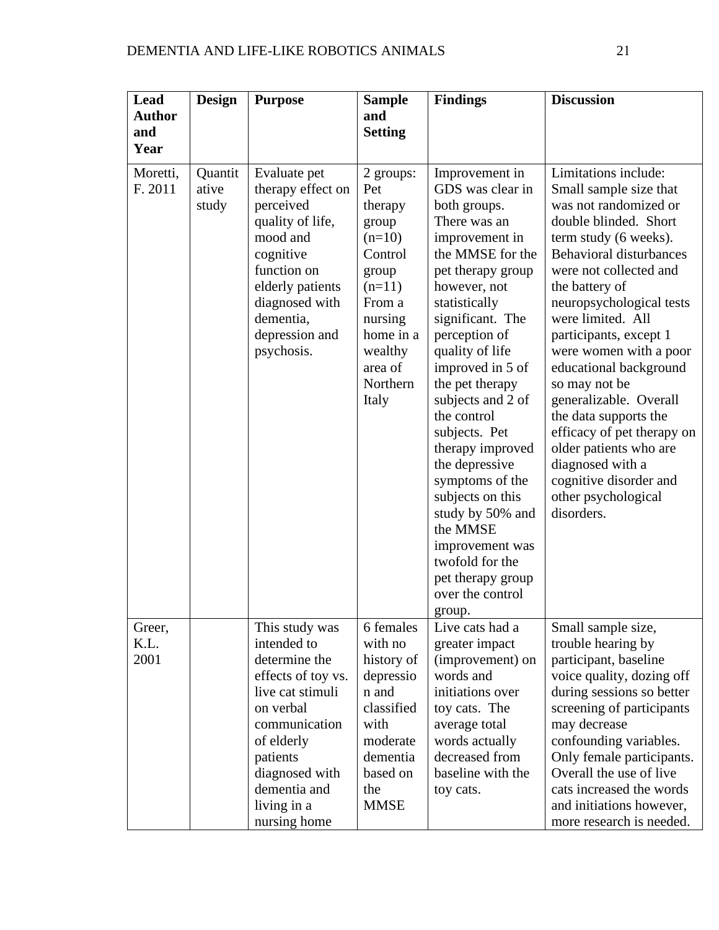| Lead<br><b>Author</b>  | <b>Design</b>             | <b>Purpose</b>                                                                                                                                                                                                    | <b>Sample</b><br>and                                                                                                                                          | <b>Findings</b>                                                                                                                                                                                                                                                                                                                                                                                                                                                                                                          | <b>Discussion</b>                                                                                                                                                                                                                                                                                                                                                                                                                                                                                                                                     |
|------------------------|---------------------------|-------------------------------------------------------------------------------------------------------------------------------------------------------------------------------------------------------------------|---------------------------------------------------------------------------------------------------------------------------------------------------------------|--------------------------------------------------------------------------------------------------------------------------------------------------------------------------------------------------------------------------------------------------------------------------------------------------------------------------------------------------------------------------------------------------------------------------------------------------------------------------------------------------------------------------|-------------------------------------------------------------------------------------------------------------------------------------------------------------------------------------------------------------------------------------------------------------------------------------------------------------------------------------------------------------------------------------------------------------------------------------------------------------------------------------------------------------------------------------------------------|
| and<br>Year            |                           |                                                                                                                                                                                                                   | <b>Setting</b>                                                                                                                                                |                                                                                                                                                                                                                                                                                                                                                                                                                                                                                                                          |                                                                                                                                                                                                                                                                                                                                                                                                                                                                                                                                                       |
| Moretti,<br>F. 2011    | Quantit<br>ative<br>study | Evaluate pet<br>therapy effect on<br>perceived<br>quality of life,<br>mood and<br>cognitive<br>function on<br>elderly patients<br>diagnosed with<br>dementia,<br>depression and<br>psychosis.                     | 2 groups:<br>Pet<br>therapy<br>group<br>$(n=10)$<br>Control<br>group<br>$(n=11)$<br>From a<br>nursing<br>home in a<br>wealthy<br>area of<br>Northern<br>Italy | Improvement in<br>GDS was clear in<br>both groups.<br>There was an<br>improvement in<br>the MMSE for the<br>pet therapy group<br>however, not<br>statistically<br>significant. The<br>perception of<br>quality of life<br>improved in 5 of<br>the pet therapy<br>subjects and 2 of<br>the control<br>subjects. Pet<br>therapy improved<br>the depressive<br>symptoms of the<br>subjects on this<br>study by 50% and<br>the MMSE<br>improvement was<br>twofold for the<br>pet therapy group<br>over the control<br>group. | Limitations include:<br>Small sample size that<br>was not randomized or<br>double blinded. Short<br>term study (6 weeks).<br><b>Behavioral disturbances</b><br>were not collected and<br>the battery of<br>neuropsychological tests<br>were limited. All<br>participants, except 1<br>were women with a poor<br>educational background<br>so may not be<br>generalizable. Overall<br>the data supports the<br>efficacy of pet therapy on<br>older patients who are<br>diagnosed with a<br>cognitive disorder and<br>other psychological<br>disorders. |
| Greer,<br>K.L.<br>2001 |                           | This study was<br>intended to<br>determine the<br>effects of toy vs.<br>live cat stimuli<br>on verbal<br>communication<br>of elderly<br>patients<br>diagnosed with<br>dementia and<br>living in a<br>nursing home | 6 females<br>with no<br>history of<br>depressio<br>n and<br>classified<br>with<br>moderate<br>dementia<br>based on<br>the<br><b>MMSE</b>                      | Live cats had a<br>greater impact<br>(improvement) on<br>words and<br>initiations over<br>toy cats. The<br>average total<br>words actually<br>decreased from<br>baseline with the<br>toy cats.                                                                                                                                                                                                                                                                                                                           | Small sample size,<br>trouble hearing by<br>participant, baseline<br>voice quality, dozing off<br>during sessions so better<br>screening of participants<br>may decrease<br>confounding variables.<br>Only female participants.<br>Overall the use of live<br>cats increased the words<br>and initiations however,<br>more research is needed.                                                                                                                                                                                                        |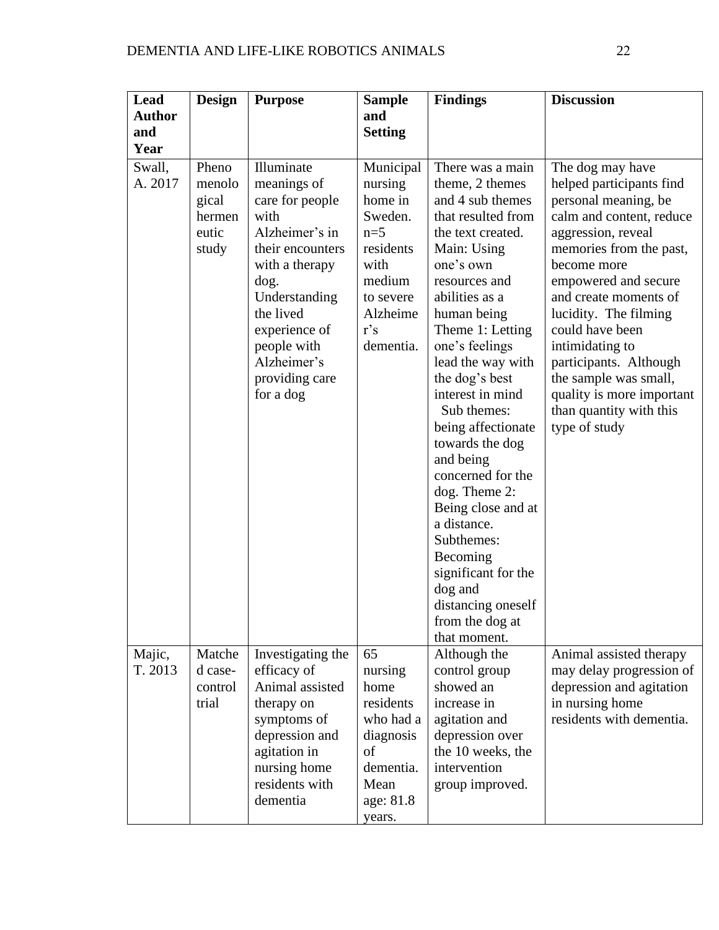| Lead              | <b>Design</b>                                        | <b>Purpose</b>                                                                                                                                                                                                                   | <b>Sample</b>                                                                                                                   | <b>Findings</b>                                                                                                                                                                                                                                                                                                                                                                                                                                                                                                                                        | <b>Discussion</b>                                                                                                                                                                                                                                                                                                                                                                                            |
|-------------------|------------------------------------------------------|----------------------------------------------------------------------------------------------------------------------------------------------------------------------------------------------------------------------------------|---------------------------------------------------------------------------------------------------------------------------------|--------------------------------------------------------------------------------------------------------------------------------------------------------------------------------------------------------------------------------------------------------------------------------------------------------------------------------------------------------------------------------------------------------------------------------------------------------------------------------------------------------------------------------------------------------|--------------------------------------------------------------------------------------------------------------------------------------------------------------------------------------------------------------------------------------------------------------------------------------------------------------------------------------------------------------------------------------------------------------|
| <b>Author</b>     |                                                      |                                                                                                                                                                                                                                  | and                                                                                                                             |                                                                                                                                                                                                                                                                                                                                                                                                                                                                                                                                                        |                                                                                                                                                                                                                                                                                                                                                                                                              |
| and               |                                                      |                                                                                                                                                                                                                                  | <b>Setting</b>                                                                                                                  |                                                                                                                                                                                                                                                                                                                                                                                                                                                                                                                                                        |                                                                                                                                                                                                                                                                                                                                                                                                              |
| Year              |                                                      |                                                                                                                                                                                                                                  |                                                                                                                                 |                                                                                                                                                                                                                                                                                                                                                                                                                                                                                                                                                        |                                                                                                                                                                                                                                                                                                                                                                                                              |
| Swall,<br>A. 2017 | Pheno<br>menolo<br>gical<br>hermen<br>eutic<br>study | Illuminate<br>meanings of<br>care for people<br>with<br>Alzheimer's in<br>their encounters<br>with a therapy<br>dog.<br>Understanding<br>the lived<br>experience of<br>people with<br>Alzheimer's<br>providing care<br>for a dog | Municipal<br>nursing<br>home in<br>Sweden.<br>$n=5$<br>residents<br>with<br>medium<br>to severe<br>Alzheime<br>r's<br>dementia. | There was a main<br>theme, 2 themes<br>and 4 sub themes<br>that resulted from<br>the text created.<br>Main: Using<br>one's own<br>resources and<br>abilities as a<br>human being<br>Theme 1: Letting<br>one's feelings<br>lead the way with<br>the dog's best<br>interest in mind<br>Sub themes:<br>being affectionate<br>towards the dog<br>and being<br>concerned for the<br>dog. Theme 2:<br>Being close and at<br>a distance.<br>Subthemes:<br>Becoming<br>significant for the<br>dog and<br>distancing oneself<br>from the dog at<br>that moment. | The dog may have<br>helped participants find<br>personal meaning, be<br>calm and content, reduce<br>aggression, reveal<br>memories from the past,<br>become more<br>empowered and secure<br>and create moments of<br>lucidity. The filming<br>could have been<br>intimidating to<br>participants. Although<br>the sample was small,<br>quality is more important<br>than quantity with this<br>type of study |
| Majic,<br>T. 2013 | Matche<br>d case-<br>control<br>trial                | Investigating the<br>efficacy of<br>Animal assisted<br>therapy on<br>symptoms of<br>depression and<br>agitation in<br>nursing home<br>residents with<br>dementia                                                                 | 65<br>nursing<br>home<br>residents<br>who had a<br>diagnosis<br>of<br>dementia.<br>Mean<br>age: 81.8<br>years.                  | Although the<br>control group<br>showed an<br>increase in<br>agitation and<br>depression over<br>the 10 weeks, the<br>intervention<br>group improved.                                                                                                                                                                                                                                                                                                                                                                                                  | Animal assisted therapy<br>may delay progression of<br>depression and agitation<br>in nursing home<br>residents with dementia.                                                                                                                                                                                                                                                                               |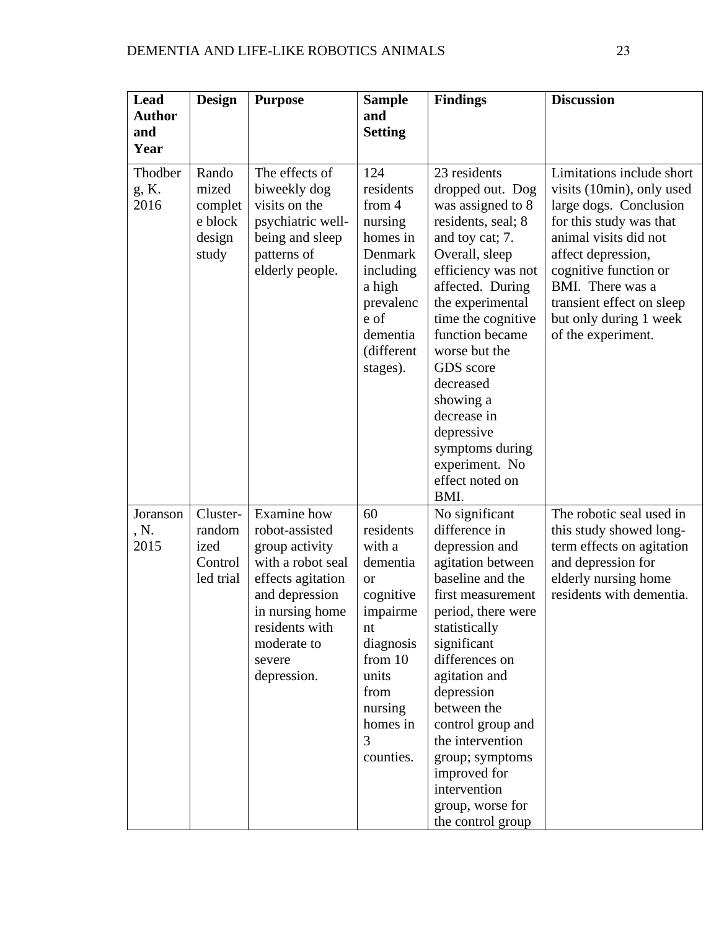| Lead<br><b>Author</b>    | <b>Design</b>                                           | <b>Purpose</b>                                                                                                                                                                           | <b>Sample</b><br>and                                                                                                                                                  | <b>Findings</b>                                                                                                                                                                                                                                                                                                                                                              | <b>Discussion</b>                                                                                                                                                                                                                                                                    |
|--------------------------|---------------------------------------------------------|------------------------------------------------------------------------------------------------------------------------------------------------------------------------------------------|-----------------------------------------------------------------------------------------------------------------------------------------------------------------------|------------------------------------------------------------------------------------------------------------------------------------------------------------------------------------------------------------------------------------------------------------------------------------------------------------------------------------------------------------------------------|--------------------------------------------------------------------------------------------------------------------------------------------------------------------------------------------------------------------------------------------------------------------------------------|
| and<br>Year              |                                                         |                                                                                                                                                                                          | <b>Setting</b>                                                                                                                                                        |                                                                                                                                                                                                                                                                                                                                                                              |                                                                                                                                                                                                                                                                                      |
| Thodber<br>g, K.<br>2016 | Rando<br>mized<br>complet<br>e block<br>design<br>study | The effects of<br>biweekly dog<br>visits on the<br>psychiatric well-<br>being and sleep<br>patterns of<br>elderly people.                                                                | 124<br>residents<br>from 4<br>nursing<br>homes in<br>Denmark<br>including<br>a high<br>prevalenc<br>e of<br>dementia<br>(different<br>stages).                        | 23 residents<br>dropped out. Dog<br>was assigned to 8<br>residents, seal; 8<br>and toy cat; 7.<br>Overall, sleep<br>efficiency was not<br>affected. During<br>the experimental<br>time the cognitive<br>function became<br>worse but the<br>GDS score<br>decreased<br>showing a<br>decrease in<br>depressive<br>symptoms during<br>experiment. No<br>effect noted on<br>BMI. | Limitations include short<br>visits (10min), only used<br>large dogs. Conclusion<br>for this study was that<br>animal visits did not<br>affect depression,<br>cognitive function or<br>BMI. There was a<br>transient effect on sleep<br>but only during 1 week<br>of the experiment. |
| Joranson<br>, N.<br>2015 | Cluster-<br>random<br>ized<br>Control<br>led trial      | Examine how<br>robot-assisted<br>group activity<br>with a robot seal<br>effects agitation<br>and depression<br>in nursing home<br>residents with<br>moderate to<br>severe<br>depression. | 60<br>residents<br>with a<br>dementia<br><b>or</b><br>cognitive<br>impairme<br>nt<br>diagnosis<br>from $10$<br>units<br>from<br>nursing<br>homes in<br>3<br>counties. | No significant<br>difference in<br>depression and<br>agitation between<br>baseline and the<br>first measurement<br>period, there were<br>statistically<br>significant<br>differences on<br>agitation and<br>depression<br>between the<br>control group and<br>the intervention<br>group; symptoms<br>improved for<br>intervention<br>group, worse for<br>the control group   | The robotic seal used in<br>this study showed long-<br>term effects on agitation<br>and depression for<br>elderly nursing home<br>residents with dementia.                                                                                                                           |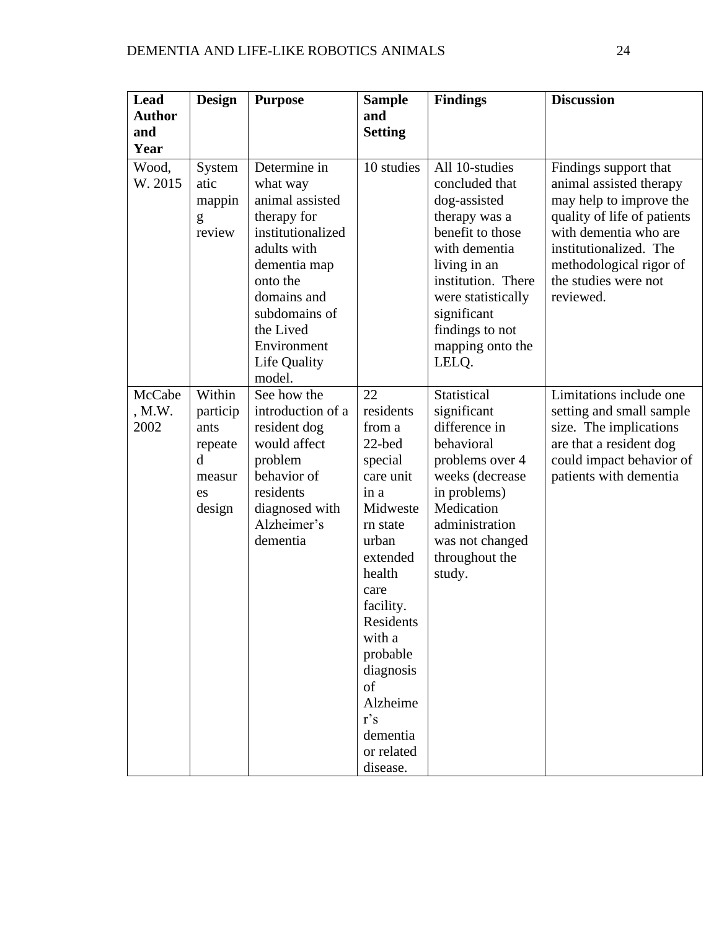| Lead<br><b>Author</b><br>and<br>Year | <b>Design</b>                                                        | <b>Purpose</b>                                                                                                                                                                                                   | <b>Sample</b><br>and<br><b>Setting</b>                                                                                                                                                                                                                         | <b>Findings</b>                                                                                                                                                                                                                   | <b>Discussion</b>                                                                                                                                                                                                             |
|--------------------------------------|----------------------------------------------------------------------|------------------------------------------------------------------------------------------------------------------------------------------------------------------------------------------------------------------|----------------------------------------------------------------------------------------------------------------------------------------------------------------------------------------------------------------------------------------------------------------|-----------------------------------------------------------------------------------------------------------------------------------------------------------------------------------------------------------------------------------|-------------------------------------------------------------------------------------------------------------------------------------------------------------------------------------------------------------------------------|
| Wood,<br>W. 2015                     | System<br>atic<br>mappin<br>g<br>review                              | Determine in<br>what way<br>animal assisted<br>therapy for<br>institutionalized<br>adults with<br>dementia map<br>onto the<br>domains and<br>subdomains of<br>the Lived<br>Environment<br>Life Quality<br>model. | 10 studies                                                                                                                                                                                                                                                     | All 10-studies<br>concluded that<br>dog-assisted<br>therapy was a<br>benefit to those<br>with dementia<br>living in an<br>institution. There<br>were statistically<br>significant<br>findings to not<br>mapping onto the<br>LELO. | Findings support that<br>animal assisted therapy<br>may help to improve the<br>quality of life of patients<br>with dementia who are<br>institutionalized. The<br>methodological rigor of<br>the studies were not<br>reviewed. |
| McCabe<br>, M.W.<br>2002             | Within<br>particip<br>ants<br>repeate<br>d<br>measur<br>es<br>design | See how the<br>introduction of a<br>resident dog<br>would affect<br>problem<br>behavior of<br>residents<br>diagnosed with<br>Alzheimer's<br>dementia                                                             | 22<br>residents<br>from a<br>22-bed<br>special<br>care unit<br>in a<br>Midweste<br>rn state<br>urban<br>extended<br>health<br>care<br>facility.<br>Residents<br>with a<br>probable<br>diagnosis<br>of<br>Alzheime<br>r's<br>dementia<br>or related<br>disease. | Statistical<br>significant<br>difference in<br>behavioral<br>problems over 4<br>weeks (decrease<br>in problems)<br>Medication<br>administration<br>was not changed<br>throughout the<br>study.                                    | Limitations include one<br>setting and small sample<br>size. The implications<br>are that a resident dog<br>could impact behavior of<br>patients with dementia                                                                |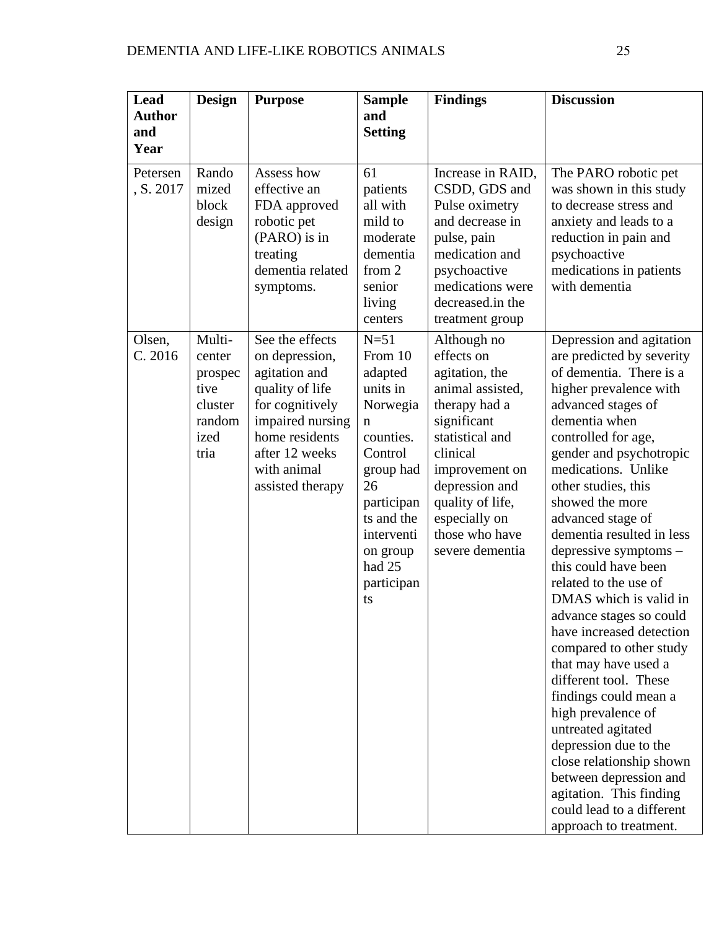| Lead<br><b>Author</b><br>and  | <b>Design</b>                                                            | <b>Purpose</b>                                                                                                                                                                      | <b>Sample</b><br>and<br><b>Setting</b>                                                                                                                                                   | <b>Findings</b>                                                                                                                                                                                                                              | <b>Discussion</b>                                                                                                                                                                                                                                                                                                                                                                                                                                                                                                                                                                                                                                                                                                                                                                                  |
|-------------------------------|--------------------------------------------------------------------------|-------------------------------------------------------------------------------------------------------------------------------------------------------------------------------------|------------------------------------------------------------------------------------------------------------------------------------------------------------------------------------------|----------------------------------------------------------------------------------------------------------------------------------------------------------------------------------------------------------------------------------------------|----------------------------------------------------------------------------------------------------------------------------------------------------------------------------------------------------------------------------------------------------------------------------------------------------------------------------------------------------------------------------------------------------------------------------------------------------------------------------------------------------------------------------------------------------------------------------------------------------------------------------------------------------------------------------------------------------------------------------------------------------------------------------------------------------|
| Year<br>Petersen<br>, S. 2017 | Rando<br>mized<br>block<br>design                                        | Assess how<br>effective an<br>FDA approved<br>robotic pet<br>(PARO) is in<br>treating<br>dementia related<br>symptoms.                                                              | 61<br>patients<br>all with<br>mild to<br>moderate<br>dementia<br>from 2<br>senior<br>living<br>centers                                                                                   | Increase in RAID,<br>CSDD, GDS and<br>Pulse oximetry<br>and decrease in<br>pulse, pain<br>medication and<br>psychoactive<br>medications were<br>decreased.in the<br>treatment group                                                          | The PARO robotic pet<br>was shown in this study<br>to decrease stress and<br>anxiety and leads to a<br>reduction in pain and<br>psychoactive<br>medications in patients<br>with dementia                                                                                                                                                                                                                                                                                                                                                                                                                                                                                                                                                                                                           |
| Olsen,<br>C. 2016             | Multi-<br>center<br>prospec<br>tive<br>cluster<br>random<br>ized<br>tria | See the effects<br>on depression,<br>agitation and<br>quality of life<br>for cognitively<br>impaired nursing<br>home residents<br>after 12 weeks<br>with animal<br>assisted therapy | $N=51$<br>From 10<br>adapted<br>units in<br>Norwegia<br>n<br>counties.<br>Control<br>group had<br>26<br>participan<br>ts and the<br>interventi<br>on group<br>had 25<br>participan<br>ts | Although no<br>effects on<br>agitation, the<br>animal assisted.<br>therapy had a<br>significant<br>statistical and<br>clinical<br>improvement on<br>depression and<br>quality of life,<br>especially on<br>those who have<br>severe dementia | Depression and agitation<br>are predicted by severity<br>of dementia. There is a<br>higher prevalence with<br>advanced stages of<br>dementia when<br>controlled for age,<br>gender and psychotropic<br>medications. Unlike<br>other studies, this<br>showed the more<br>advanced stage of<br>dementia resulted in less<br>depressive symptoms-<br>this could have been<br>related to the use of<br>DMAS which is valid in<br>advance stages so could<br>have increased detection<br>compared to other study<br>that may have used a<br>different tool. These<br>findings could mean a<br>high prevalence of<br>untreated agitated<br>depression due to the<br>close relationship shown<br>between depression and<br>agitation. This finding<br>could lead to a different<br>approach to treatment. |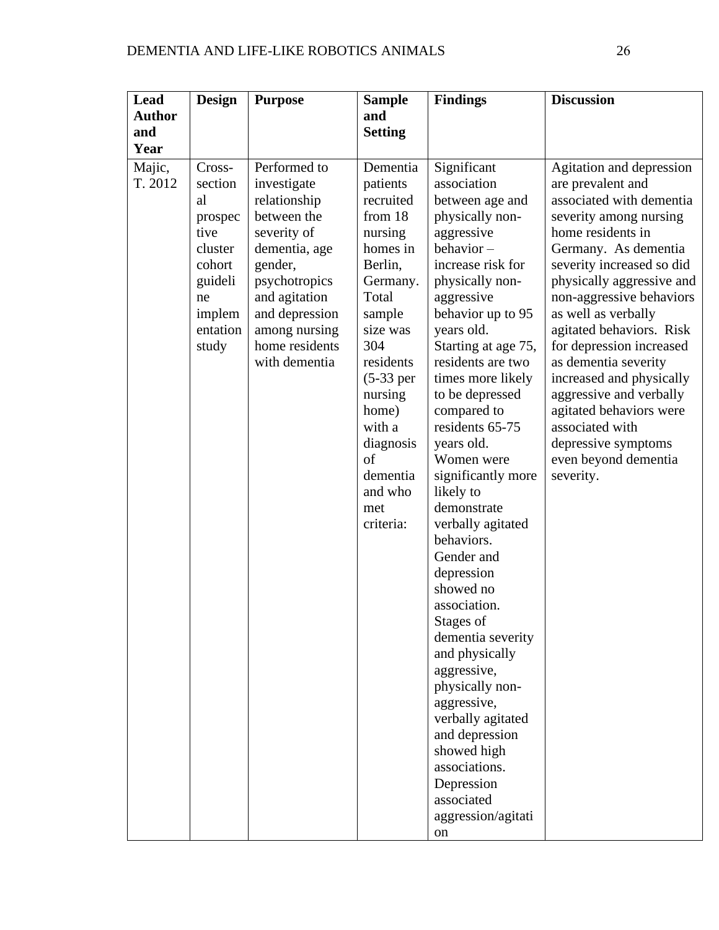| Lead              | <b>Design</b>                                                                                                   | <b>Purpose</b>                                                                                                                                                                                                | <b>Sample</b>                                                                                                                                                                                                                                             | <b>Findings</b>                                                                                                                                                                                                                                                                                                                                                                                                                                                                                                                                                                                                                                                                                                          | <b>Discussion</b>                                                                                                                                                                                                                                                                                                                                                                                                                                                                                              |
|-------------------|-----------------------------------------------------------------------------------------------------------------|---------------------------------------------------------------------------------------------------------------------------------------------------------------------------------------------------------------|-----------------------------------------------------------------------------------------------------------------------------------------------------------------------------------------------------------------------------------------------------------|--------------------------------------------------------------------------------------------------------------------------------------------------------------------------------------------------------------------------------------------------------------------------------------------------------------------------------------------------------------------------------------------------------------------------------------------------------------------------------------------------------------------------------------------------------------------------------------------------------------------------------------------------------------------------------------------------------------------------|----------------------------------------------------------------------------------------------------------------------------------------------------------------------------------------------------------------------------------------------------------------------------------------------------------------------------------------------------------------------------------------------------------------------------------------------------------------------------------------------------------------|
| <b>Author</b>     |                                                                                                                 |                                                                                                                                                                                                               | and                                                                                                                                                                                                                                                       |                                                                                                                                                                                                                                                                                                                                                                                                                                                                                                                                                                                                                                                                                                                          |                                                                                                                                                                                                                                                                                                                                                                                                                                                                                                                |
| and               |                                                                                                                 |                                                                                                                                                                                                               | <b>Setting</b>                                                                                                                                                                                                                                            |                                                                                                                                                                                                                                                                                                                                                                                                                                                                                                                                                                                                                                                                                                                          |                                                                                                                                                                                                                                                                                                                                                                                                                                                                                                                |
| Year              |                                                                                                                 |                                                                                                                                                                                                               |                                                                                                                                                                                                                                                           |                                                                                                                                                                                                                                                                                                                                                                                                                                                                                                                                                                                                                                                                                                                          |                                                                                                                                                                                                                                                                                                                                                                                                                                                                                                                |
| Majic,<br>T. 2012 | Cross-<br>section<br>al<br>prospec<br>tive<br>cluster<br>cohort<br>guideli<br>ne<br>implem<br>entation<br>study | Performed to<br>investigate<br>relationship<br>between the<br>severity of<br>dementia, age<br>gender,<br>psychotropics<br>and agitation<br>and depression<br>among nursing<br>home residents<br>with dementia | Dementia<br>patients<br>recruited<br>from 18<br>nursing<br>homes in<br>Berlin,<br>Germany.<br>Total<br>sample<br>size was<br>304<br>residents<br>$(5-33)$ per<br>nursing<br>home)<br>with a<br>diagnosis<br>of<br>dementia<br>and who<br>met<br>criteria: | Significant<br>association<br>between age and<br>physically non-<br>aggressive<br>behavior-<br>increase risk for<br>physically non-<br>aggressive<br>behavior up to 95<br>years old.<br>Starting at age 75,<br>residents are two<br>times more likely<br>to be depressed<br>compared to<br>residents 65-75<br>years old.<br>Women were<br>significantly more<br>likely to<br>demonstrate<br>verbally agitated<br>behaviors.<br>Gender and<br>depression<br>showed no<br>association.<br>Stages of<br>dementia severity<br>and physically<br>aggressive,<br>physically non-<br>aggressive,<br>verbally agitated<br>and depression<br>showed high<br>associations.<br>Depression<br>associated<br>aggression/agitati<br>on | Agitation and depression<br>are prevalent and<br>associated with dementia<br>severity among nursing<br>home residents in<br>Germany. As dementia<br>severity increased so did<br>physically aggressive and<br>non-aggressive behaviors<br>as well as verbally<br>agitated behaviors. Risk<br>for depression increased<br>as dementia severity<br>increased and physically<br>aggressive and verbally<br>agitated behaviors were<br>associated with<br>depressive symptoms<br>even beyond dementia<br>severity. |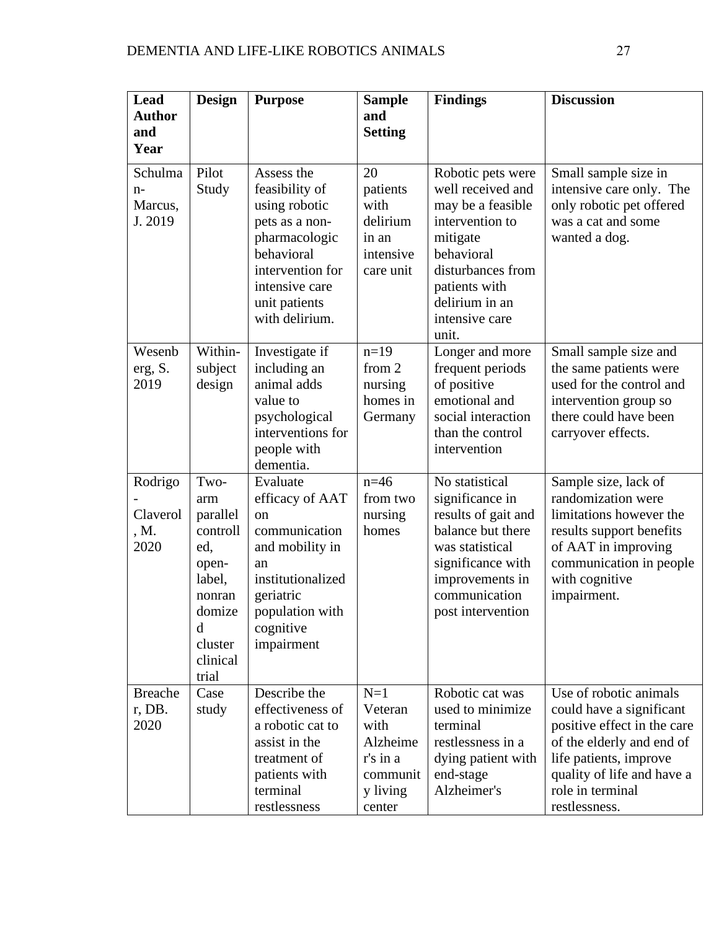| Lead<br><b>Author</b><br>and          | <b>Design</b>                                                                                                          | <b>Purpose</b>                                                                                                                                                          | <b>Sample</b><br>and<br><b>Setting</b>                                             | <b>Findings</b>                                                                                                                                                                             | <b>Discussion</b>                                                                                                                                                                                           |
|---------------------------------------|------------------------------------------------------------------------------------------------------------------------|-------------------------------------------------------------------------------------------------------------------------------------------------------------------------|------------------------------------------------------------------------------------|---------------------------------------------------------------------------------------------------------------------------------------------------------------------------------------------|-------------------------------------------------------------------------------------------------------------------------------------------------------------------------------------------------------------|
| Year                                  |                                                                                                                        |                                                                                                                                                                         |                                                                                    |                                                                                                                                                                                             |                                                                                                                                                                                                             |
| Schulma<br>$n-$<br>Marcus,<br>J. 2019 | Pilot<br>Study                                                                                                         | Assess the<br>feasibility of<br>using robotic<br>pets as a non-<br>pharmacologic<br>behavioral<br>intervention for<br>intensive care<br>unit patients<br>with delirium. | 20<br>patients<br>with<br>delirium<br>in an<br>intensive<br>care unit              | Robotic pets were<br>well received and<br>may be a feasible<br>intervention to<br>mitigate<br>behavioral<br>disturbances from<br>patients with<br>delirium in an<br>intensive care<br>unit. | Small sample size in<br>intensive care only. The<br>only robotic pet offered<br>was a cat and some<br>wanted a dog.                                                                                         |
| Wesenb<br>erg, S.<br>2019             | Within-<br>subject<br>design                                                                                           | Investigate if<br>including an<br>animal adds<br>value to<br>psychological<br>interventions for<br>people with<br>dementia.                                             | $n=19$<br>from 2<br>nursing<br>homes in<br>Germany                                 | Longer and more<br>frequent periods<br>of positive<br>emotional and<br>social interaction<br>than the control<br>intervention                                                               | Small sample size and<br>the same patients were<br>used for the control and<br>intervention group so<br>there could have been<br>carryover effects.                                                         |
| Rodrigo<br>Claverol<br>, M.<br>2020   | Two-<br>arm<br>parallel<br>controll<br>ed,<br>open-<br>label,<br>nonran<br>domize<br>d<br>cluster<br>clinical<br>trial | Evaluate<br>efficacy of AAT<br><sub>on</sub><br>communication<br>and mobility in<br>an<br>institutionalized<br>geriatric<br>population with<br>cognitive<br>impairment  | $n=46$<br>from two<br>nursing<br>homes                                             | No statistical<br>significance in<br>results of gait and<br>balance but there<br>was statistical<br>significance with<br>improvements in<br>communication<br>post intervention              | Sample size, lack of<br>randomization were<br>limitations however the<br>results support benefits<br>of AAT in improving<br>communication in people<br>with cognitive<br>impairment.                        |
| <b>Breache</b><br>r, DB.<br>2020      | Case<br>study                                                                                                          | Describe the<br>effectiveness of<br>a robotic cat to<br>assist in the<br>treatment of<br>patients with<br>terminal<br>restlessness                                      | $N=1$<br>Veteran<br>with<br>Alzheime<br>r's in a<br>communit<br>y living<br>center | Robotic cat was<br>used to minimize<br>terminal<br>restlessness in a<br>dying patient with<br>end-stage<br>Alzheimer's                                                                      | Use of robotic animals<br>could have a significant<br>positive effect in the care<br>of the elderly and end of<br>life patients, improve<br>quality of life and have a<br>role in terminal<br>restlessness. |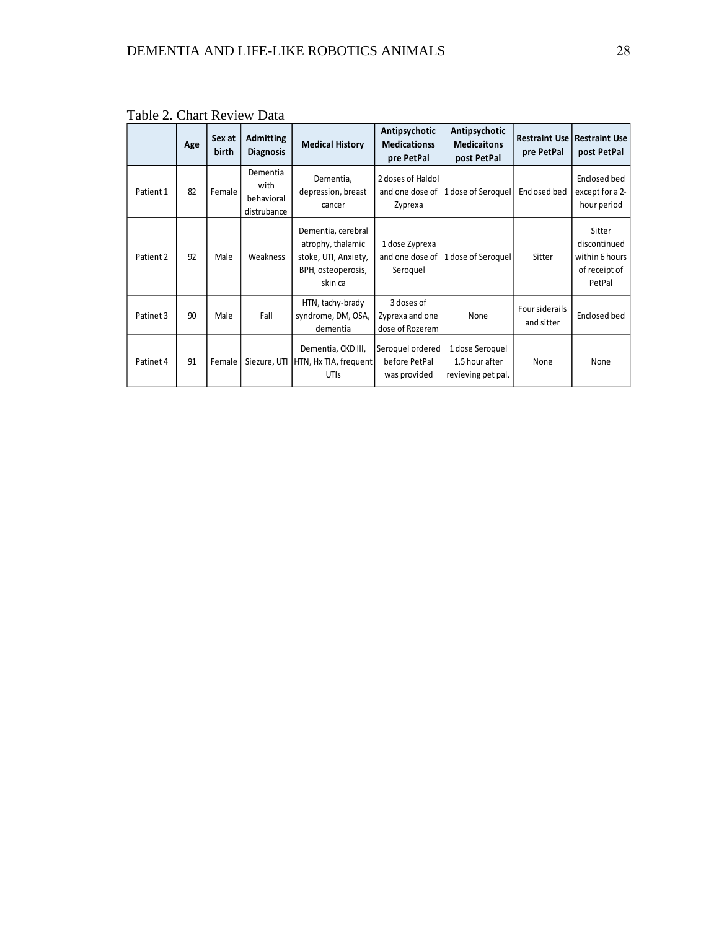|           | Age | Sex at<br>birth | <b>Admitting</b><br><b>Diagnosis</b>          | <b>Medical History</b>                                                                           | Antipsychotic<br><b>Medicationss</b><br>pre PetPal | Antipsychotic<br><b>Medicaitons</b><br>post PetPal      | pre PetPal                   | <b>Restraint Use   Restraint Use  </b><br>post PetPal               |
|-----------|-----|-----------------|-----------------------------------------------|--------------------------------------------------------------------------------------------------|----------------------------------------------------|---------------------------------------------------------|------------------------------|---------------------------------------------------------------------|
| Patient 1 | 82  | Female          | Dementia<br>with<br>behavioral<br>distrubance | Dementia,<br>depression, breast<br>cancer                                                        | 2 doses of Haldol<br>and one dose of<br>Zyprexa    | 1 dose of Seroquel                                      | Enclosed bed                 | Enclosed bed<br>except for a 2-<br>hour period                      |
| Patient 2 | 92  | Male            | Weakness                                      | Dementia, cerebral<br>atrophy, thalamic<br>stoke, UTI, Anxiety,<br>BPH, osteoperosis,<br>skin ca | 1 dose Zyprexa<br>and one dose of<br>Seroquel      | 1 dose of Seroquel                                      | Sitter                       | Sitter<br>discontinued<br>within 6 hours<br>of receipt of<br>PetPal |
| Patinet 3 | 90  | Male            | Fall                                          | HTN, tachy-brady<br>syndrome, DM, OSA,<br>dementia                                               | 3 doses of<br>Zyprexa and one<br>dose of Rozerem   | None                                                    | Four siderails<br>and sitter | Enclosed bed                                                        |
| Patinet 4 | 91  | Female          | Siezure, UTI                                  | Dementia, CKD III,<br>HTN, Hx TIA, frequent<br>UTIS                                              | Seroquel ordered<br>before PetPal<br>was provided  | 1 dose Seroquel<br>1.5 hour after<br>revieving pet pal. | None                         | None                                                                |

Table 2. Chart Review Data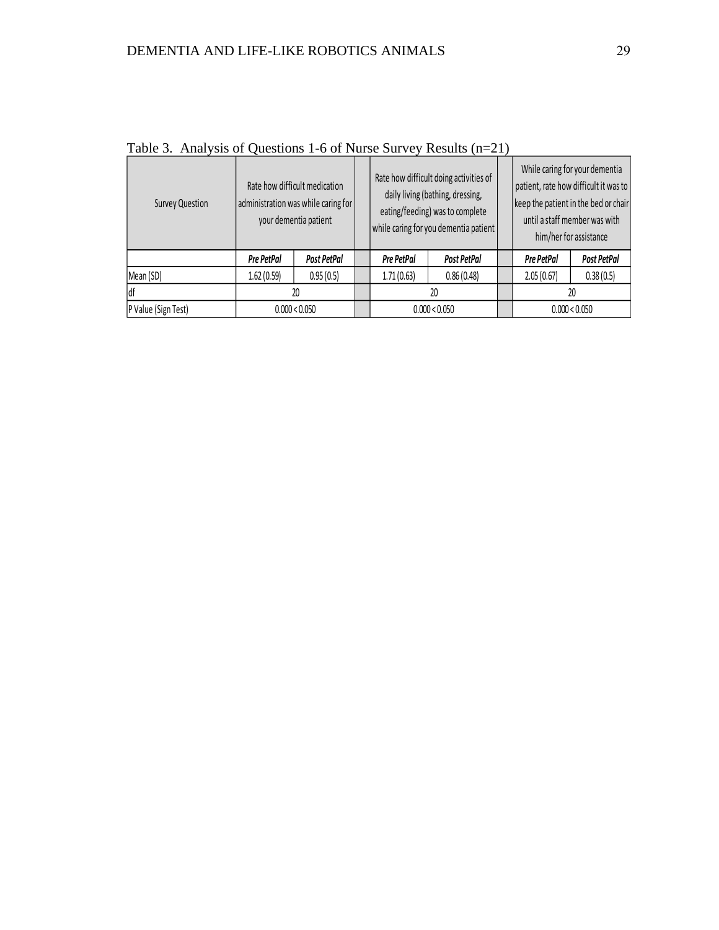| Survey Question     | Rate how difficult medication<br>administration was while caring for<br>your dementia patient |               | Rate how difficult doing activities of<br>daily living (bathing, dressing,<br>eating/feeding) was to complete<br>while caring for you dementia patient |             | While caring for your dementia<br>patient, rate how difficult it was to<br>keep the patient in the bed or chair<br>until a staff member was with<br>him/her for assistance |               |
|---------------------|-----------------------------------------------------------------------------------------------|---------------|--------------------------------------------------------------------------------------------------------------------------------------------------------|-------------|----------------------------------------------------------------------------------------------------------------------------------------------------------------------------|---------------|
|                     | Pre PetPal                                                                                    | Post PetPal   | Pre PetPal                                                                                                                                             | Post PetPal | Pre PetPal                                                                                                                                                                 | Post PetPal   |
| Mean (SD)           | 1.62(0.59)                                                                                    | 0.95(0.5)     | 1.71(0.63)                                                                                                                                             | 0.86(0.48)  | 2.05(0.67)                                                                                                                                                                 | 0.38(0.5)     |
| ldf                 | 20                                                                                            |               | 20                                                                                                                                                     |             |                                                                                                                                                                            | 20            |
| P Value (Sign Test) |                                                                                               | 0.000 < 0.050 | 0.000 < 0.050                                                                                                                                          |             |                                                                                                                                                                            | 0.000 < 0.050 |

Table 3. Analysis of Questions 1-6 of Nurse Survey Results (n=21)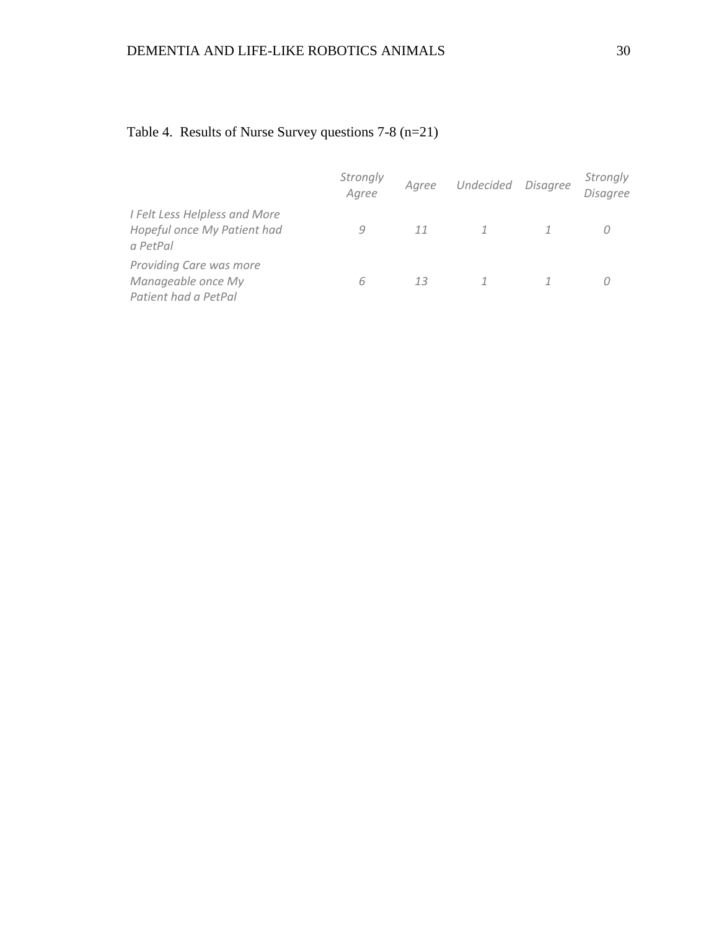|                                                                          | Strongly<br>Agree | Agree | Undecided Disagree | Strongly<br>Disagree |
|--------------------------------------------------------------------------|-------------------|-------|--------------------|----------------------|
| I Felt Less Helpless and More<br>Hopeful once My Patient had<br>a PetPal | q                 | 11    |                    |                      |
| Providing Care was more<br>Manageable once My<br>Patient had a PetPal    | h                 | 13    |                    |                      |

# Table 4. Results of Nurse Survey questions 7-8 (n=21)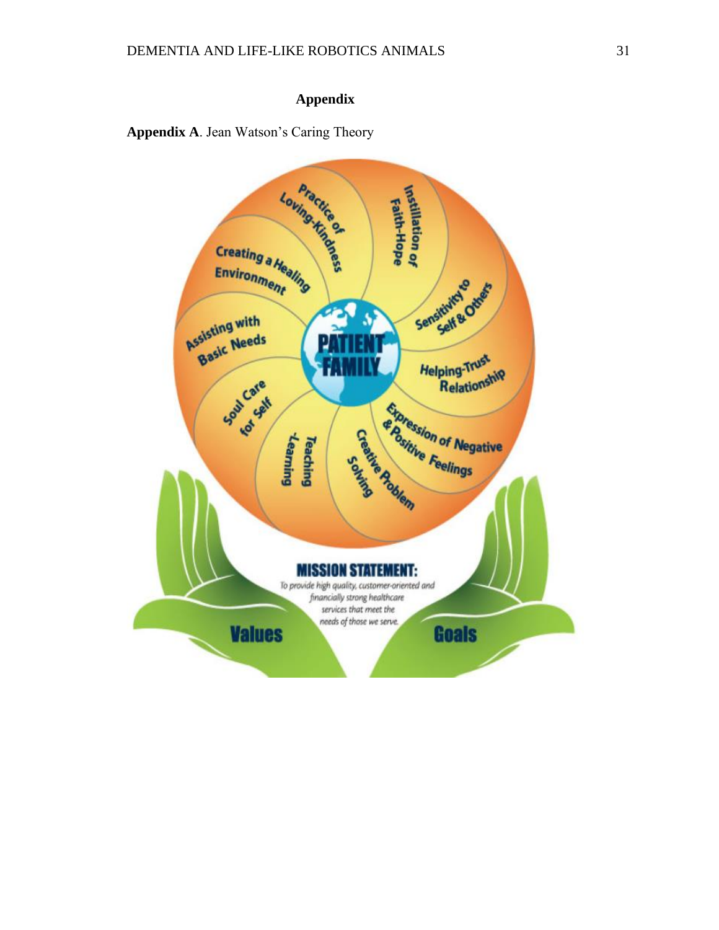## **Appendix**

<span id="page-40-0"></span>**Appendix A**. Jean Watson's Caring Theory

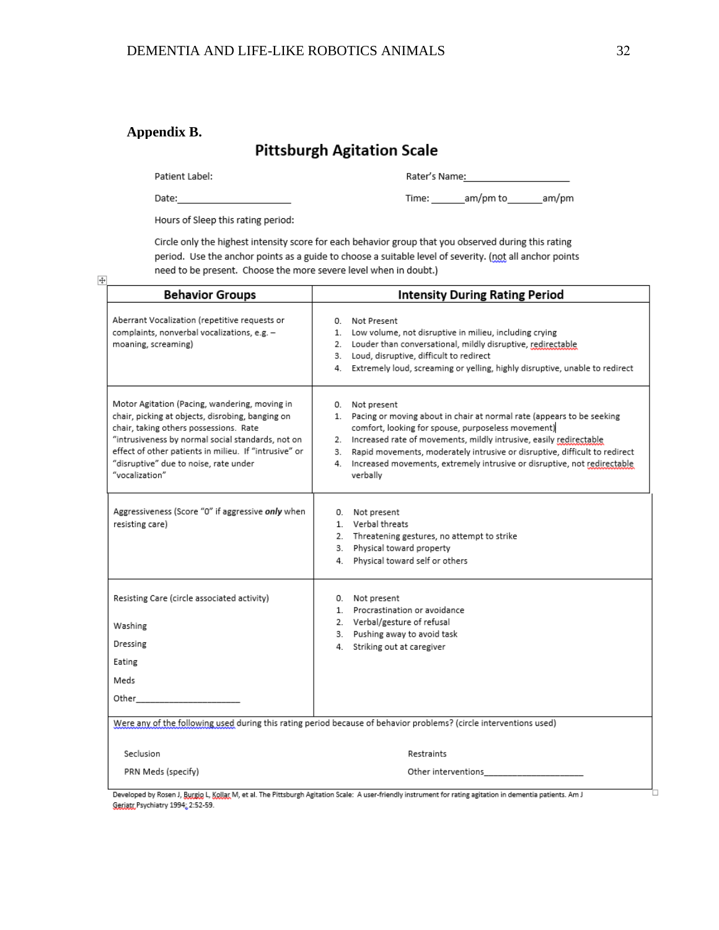## **Appendix B.**

# **Pittsburgh Agitation Scale**

Patient Label:

Rater's Name: 1990

Date:

 $+$ 

Time: \_\_\_\_\_\_\_\_am/pm to \_\_\_\_\_\_\_\_am/pm

Hours of Sleep this rating period:

Circle only the highest intensity score for each behavior group that you observed during this rating period. Use the anchor points as a guide to choose a suitable level of severity. (not all anchor points need to be present. Choose the more severe level when in doubt.)

| <b>Behavior Groups</b>                                                                                                                                                                                                                                                                                               | <b>Intensity During Rating Period</b>                                                                                                                                                                                                                                                                                                                                                                    |
|----------------------------------------------------------------------------------------------------------------------------------------------------------------------------------------------------------------------------------------------------------------------------------------------------------------------|----------------------------------------------------------------------------------------------------------------------------------------------------------------------------------------------------------------------------------------------------------------------------------------------------------------------------------------------------------------------------------------------------------|
| Aberrant Vocalization (repetitive requests or<br>complaints, nonverbal vocalizations, e.g. -<br>moaning, screaming)                                                                                                                                                                                                  | 0. Not Present<br>1. Low volume, not disruptive in milieu, including crying<br>2. Louder than conversational, mildly disruptive, redirectable<br>3. Loud, disruptive, difficult to redirect<br>Extremely loud, screaming or yelling, highly disruptive, unable to redirect<br>4.                                                                                                                         |
| Motor Agitation (Pacing, wandering, moving in<br>chair, picking at objects, disrobing, banging on<br>chair, taking others possessions. Rate<br>"intrusiveness by normal social standards, not on<br>effect of other patients in milieu. If "intrusive" or<br>"disruptive" due to noise, rate under<br>"vocalization" | 0. Not present<br>1. Pacing or moving about in chair at normal rate (appears to be seeking<br>comfort, looking for spouse, purposeless movement)<br>2. Increased rate of movements, mildly intrusive, easily redirectable<br>Rapid movements, moderately intrusive or disruptive, difficult to redirect<br>3.<br>4. Increased movements, extremely intrusive or disruptive, not redirectable<br>verbally |
| Aggressiveness (Score "0" if aggressive only when<br>resisting care)                                                                                                                                                                                                                                                 | 0. Not present<br>1. Verbal threats<br>2. Threatening gestures, no attempt to strike<br>3. Physical toward property<br>Physical toward self or others<br>4.                                                                                                                                                                                                                                              |
| Resisting Care (circle associated activity)<br>Washing<br>Dressing<br>Eating<br>Meds                                                                                                                                                                                                                                 | 0. Not present<br>1. Procrastination or avoidance<br>2. Verbal/gesture of refusal<br>3. Pushing away to avoid task<br>4. Striking out at caregiver                                                                                                                                                                                                                                                       |
| Other                                                                                                                                                                                                                                                                                                                | Were any of the following used during this rating period because of behavior problems? (circle interventions used)                                                                                                                                                                                                                                                                                       |
| Seclusion                                                                                                                                                                                                                                                                                                            | Restraints                                                                                                                                                                                                                                                                                                                                                                                               |

ng agit rgh Ag wм, Geriatr Psychiatry 1994; 2:52-59.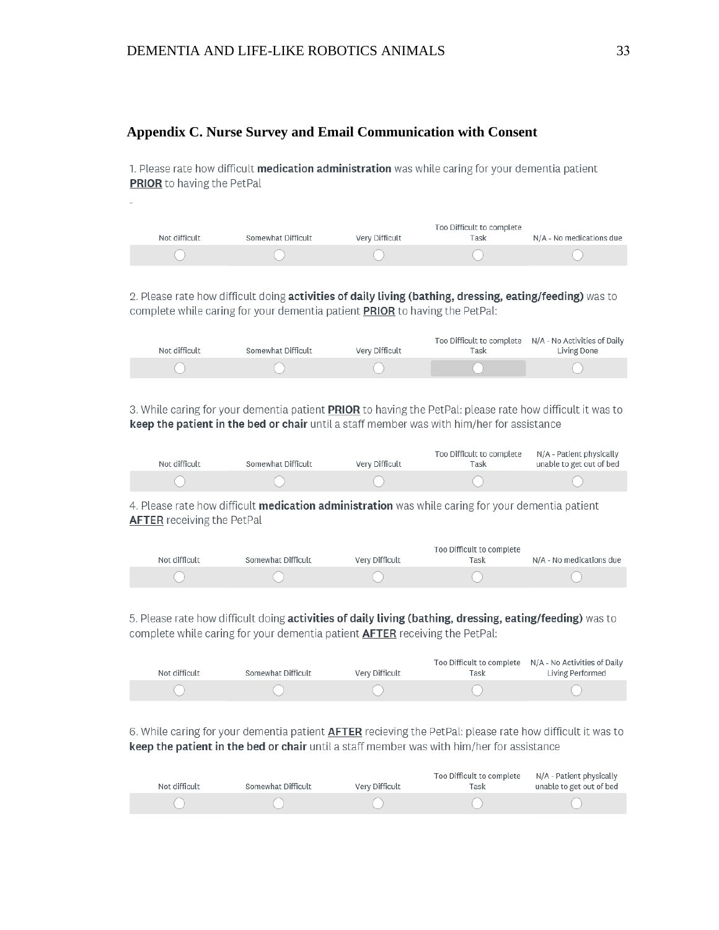#### **Appendix C. Nurse Survey and Email Communication with Consent**

1. Please rate how difficult medication administration was while caring for your dementia patient PRIOR to having the PetPal

| Not difficult | Somewhat Difficult | Very Difficult | Too Difficult to complete<br>Task | N/A - No medications due |
|---------------|--------------------|----------------|-----------------------------------|--------------------------|
|               |                    |                |                                   |                          |

2. Please rate how difficult doing activities of daily living (bathing, dressing, eating/feeding) was to complete while caring for your dementia patient PRIOR to having the PetPal:

| Not difficult | Somewhat Difficult | Very Difficult | Task | Too Difficult to complete  N/A - No Activities of Daily<br>Living Done |
|---------------|--------------------|----------------|------|------------------------------------------------------------------------|
|               |                    |                |      |                                                                        |

3. While caring for your dementia patient PRIOR to having the PetPal: please rate how difficult it was to keep the patient in the bed or chair until a staff member was with him/her for assistance

| Not difficult | Somewhat Difficult | Very Difficult | Too Difficult to complete<br>Task | N/A - Patient physically<br>unable to get out of bed |
|---------------|--------------------|----------------|-----------------------------------|------------------------------------------------------|
|               |                    |                |                                   |                                                      |

4. Please rate how difficult medication administration was while caring for your dementia patient **AFTER** receiving the PetPal

| Not difficult | Somewhat Difficult | Very Difficult | Too Difficult to complete<br>Task | N/A - No medications due |
|---------------|--------------------|----------------|-----------------------------------|--------------------------|
|               |                    |                |                                   |                          |

5. Please rate how difficult doing activities of daily living (bathing, dressing, eating/feeding) was to complete while caring for your dementia patient **AFTER** receiving the PetPal:

| Not difficult | Somewhat Difficult | Very Difficult | Task | Too Difficult to complete N/A - No Activities of Daily<br>Living Performed |
|---------------|--------------------|----------------|------|----------------------------------------------------------------------------|
|               |                    |                |      |                                                                            |

6. While caring for your dementia patient AFTER recieving the PetPal: please rate how difficult it was to keep the patient in the bed or chair until a staff member was with him/her for assistance

| Not difficult | Somewhat Difficult | Very Difficult | Too Difficult to complete<br>Task | N/A - Patient physically<br>unable to get out of bed |
|---------------|--------------------|----------------|-----------------------------------|------------------------------------------------------|
|               |                    |                |                                   |                                                      |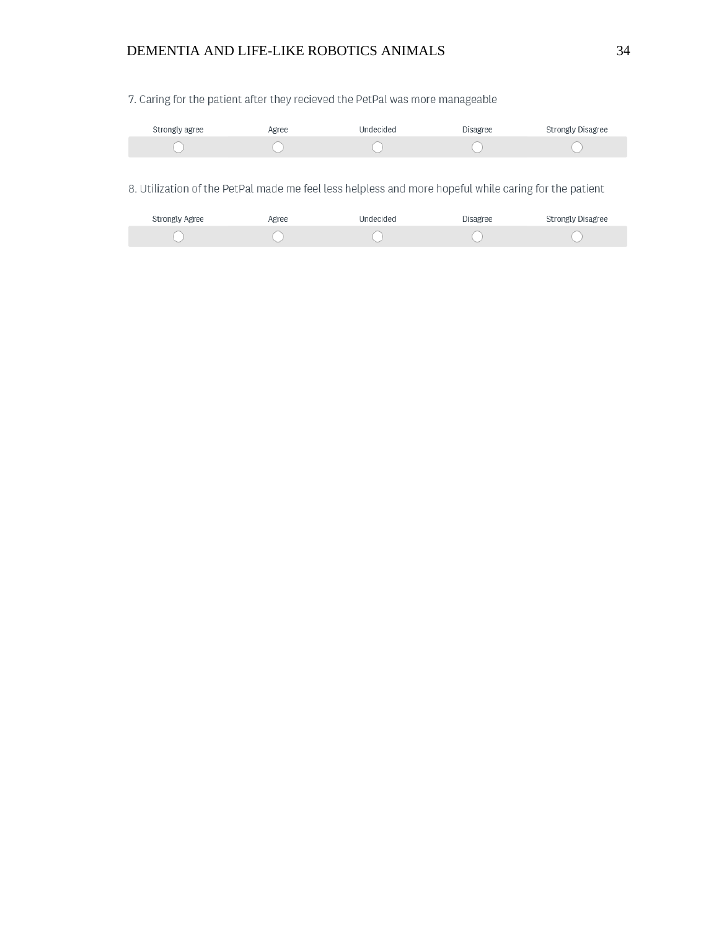## DEMENTIA AND LIFE-LIKE ROBOTICS ANIMALS 34

7. Caring for the patient after they recieved the PetPal was more manageable

| Strongly agree | Agree | Undecided | <b>Disagree</b> | Strongly Disagree |
|----------------|-------|-----------|-----------------|-------------------|
|                |       |           |                 |                   |

8. Utilization of the PetPal made me feel less helpless and more hopeful while caring for the patient

| Strongly Agree | Agree | Undecided | Disagree | Strongly Disagree |
|----------------|-------|-----------|----------|-------------------|
|                |       |           |          |                   |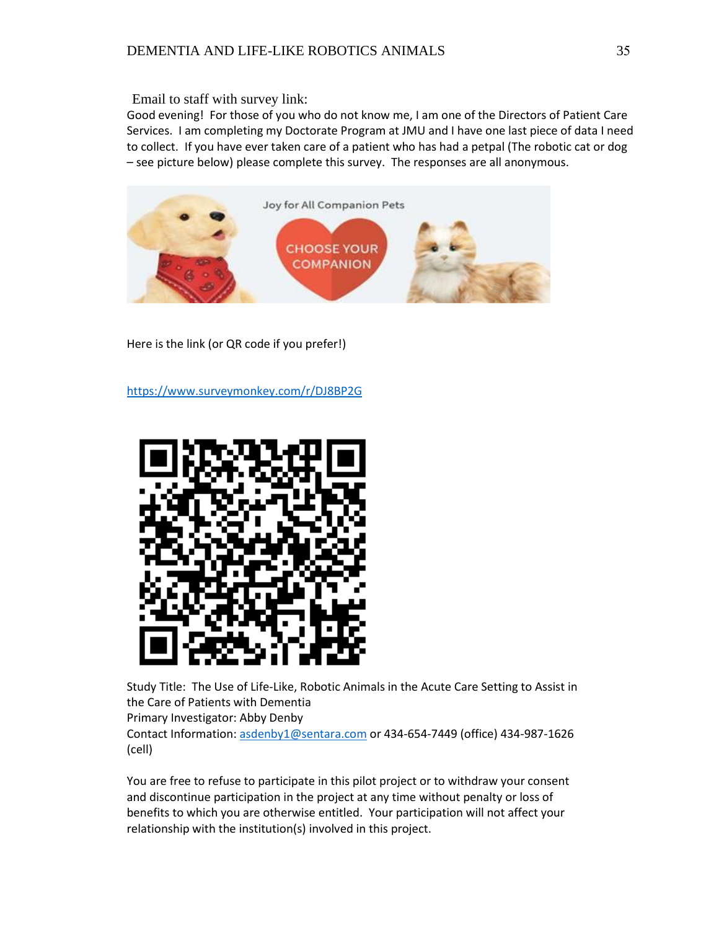Email to staff with survey link:

Good evening! For those of you who do not know me, I am one of the Directors of Patient Care Services. I am completing my Doctorate Program at JMU and I have one last piece of data I need to collect. If you have ever taken care of a patient who has had a petpal (The robotic cat or dog – see picture below) please complete this survey. The responses are all anonymous.



Here is the link (or QR code if you prefer!)

<https://www.surveymonkey.com/r/DJ8BP2G>



Study Title: The Use of Life-Like, Robotic Animals in the Acute Care Setting to Assist in the Care of Patients with Dementia

Primary Investigator: Abby Denby

Contact Information: [asdenby1@sentara.com](mailto:asdenby1@sentara.com) or 434-654-7449 (office) 434-987-1626 (cell)

You are free to refuse to participate in this pilot project or to withdraw your consent and discontinue participation in the project at any time without penalty or loss of benefits to which you are otherwise entitled. Your participation will not affect your relationship with the institution(s) involved in this project.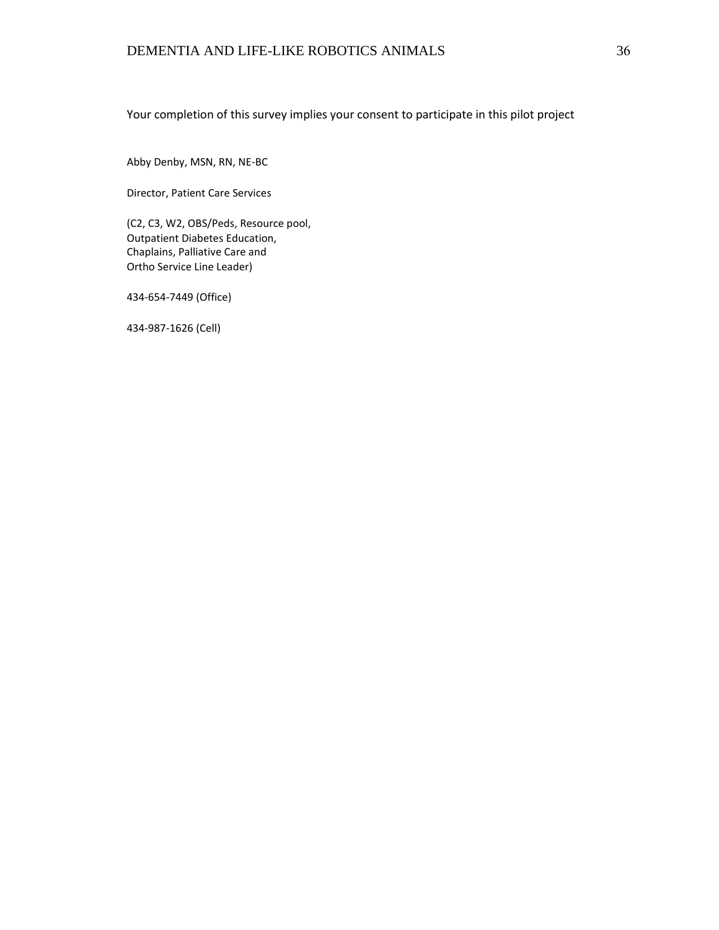Your completion of this survey implies your consent to participate in this pilot project

Abby Denby, MSN, RN, NE-BC

Director, Patient Care Services

(C2, C3, W2, OBS/Peds, Resource pool, Outpatient Diabetes Education, Chaplains, Palliative Care and Ortho Service Line Leader)

434-654-7449 (Office)

434-987-1626 (Cell)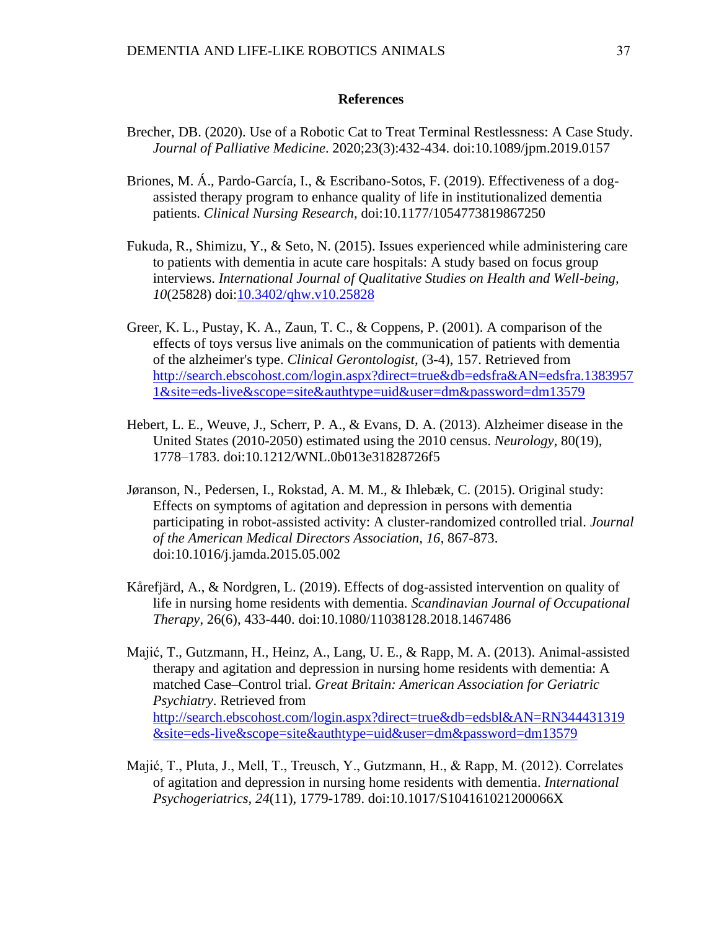#### **References**

- Brecher, DB. (2020). Use of a Robotic Cat to Treat Terminal Restlessness: A Case Study. *Journal of Palliative Medicine*. 2020;23(3):432-434. doi:10.1089/jpm.2019.0157
- Briones, M. Á., Pardo-García, I., & Escribano-Sotos, F. (2019). Effectiveness of a dogassisted therapy program to enhance quality of life in institutionalized dementia patients. *Clinical Nursing Research,* doi:10.1177/1054773819867250
- Fukuda, R., Shimizu, Y., & Seto, N. (2015). Issues experienced while administering care to patients with dementia in acute care hospitals: A study based on focus group interviews. *International Journal of Qualitative Studies on Health and Well-being, 10*(25828) doi[:10.3402/qhw.v10.25828](http://dx.doi.org/10.3402/qhw.v10.25828)
- Greer, K. L., Pustay, K. A., Zaun, T. C., & Coppens, P. (2001). A comparison of the effects of toys versus live animals on the communication of patients with dementia of the alzheimer's type. *Clinical Gerontologist,* (3-4), 157. Retrieved from [http://search.ebscohost.com/login.aspx?direct=true&db=edsfra&AN=edsfra.1383957](http://search.ebscohost.com/login.aspx?direct=true&db=edsfra&AN=edsfra.13839571&site=eds-live&scope=site&authtype=uid&user=dm&password=dm13579) [1&site=eds-live&scope=site&authtype=uid&user=dm&password=dm13579](http://search.ebscohost.com/login.aspx?direct=true&db=edsfra&AN=edsfra.13839571&site=eds-live&scope=site&authtype=uid&user=dm&password=dm13579)
- Hebert, L. E., Weuve, J., Scherr, P. A., & Evans, D. A. (2013). Alzheimer disease in the United States (2010-2050) estimated using the 2010 census. *Neurology*, 80(19), 1778–1783. doi:10.1212/WNL.0b013e31828726f5
- Jøranson, N., Pedersen, I., Rokstad, A. M. M., & Ihlebæk, C. (2015). Original study: Effects on symptoms of agitation and depression in persons with dementia participating in robot-assisted activity: A cluster-randomized controlled trial. *Journal of the American Medical Directors Association, 16*, 867-873. doi:10.1016/j.jamda.2015.05.002
- Kårefjärd, A., & Nordgren, L. (2019). Effects of dog-assisted intervention on quality of life in nursing home residents with dementia. *Scandinavian Journal of Occupational Therapy*, 26(6), 433-440. doi:10.1080/11038128.2018.1467486
- Majić, T., Gutzmann, H., Heinz, A., Lang, U. E., & Rapp, M. A. (2013). Animal-assisted therapy and agitation and depression in nursing home residents with dementia: A matched Case–Control trial. *Great Britain: American Association for Geriatric Psychiatry*. Retrieved from [http://search.ebscohost.com/login.aspx?direct=true&db=edsbl&AN=RN344431319](http://search.ebscohost.com/login.aspx?direct=true&db=edsbl&AN=RN344431319&site=eds-live&scope=site&authtype=uid&user=dm&password=dm13579) [&site=eds-live&scope=site&authtype=uid&user=dm&password=dm13579](http://search.ebscohost.com/login.aspx?direct=true&db=edsbl&AN=RN344431319&site=eds-live&scope=site&authtype=uid&user=dm&password=dm13579)
- Majić, T., Pluta, J., Mell, T., Treusch, Y., Gutzmann, H., & Rapp, M. (2012). Correlates of agitation and depression in nursing home residents with dementia. *International Psychogeriatrics, 24*(11), 1779-1789. doi:10.1017/S104161021200066X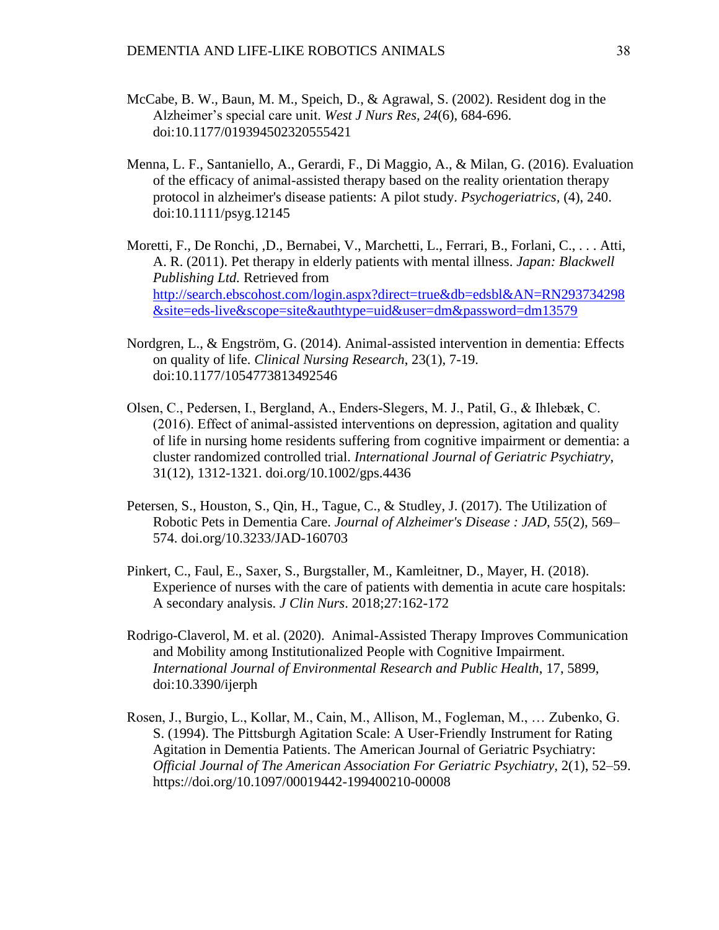- McCabe, B. W., Baun, M. M., Speich, D., & Agrawal, S. (2002). Resident dog in the Alzheimer's special care unit. *West J Nurs Res, 24*(6), 684-696. doi:10.1177/019394502320555421
- Menna, L. F., Santaniello, A., Gerardi, F., Di Maggio, A., & Milan, G. (2016). Evaluation of the efficacy of animal-assisted therapy based on the reality orientation therapy protocol in alzheimer's disease patients: A pilot study. *Psychogeriatrics,* (4), 240. doi:10.1111/psyg.12145
- Moretti, F., De Ronchi, ,D., Bernabei, V., Marchetti, L., Ferrari, B., Forlani, C., . . . Atti, A. R. (2011). Pet therapy in elderly patients with mental illness. *Japan: Blackwell Publishing Ltd.* Retrieved from [http://search.ebscohost.com/login.aspx?direct=true&db=edsbl&AN=RN293734298](http://search.ebscohost.com/login.aspx?direct=true&db=edsbl&AN=RN293734298&site=eds-live&scope=site&authtype=uid&user=dm&password=dm13579) [&site=eds-live&scope=site&authtype=uid&user=dm&password=dm13579](http://search.ebscohost.com/login.aspx?direct=true&db=edsbl&AN=RN293734298&site=eds-live&scope=site&authtype=uid&user=dm&password=dm13579)
- Nordgren, L., & Engström, G. (2014). Animal-assisted intervention in dementia: Effects on quality of life. *Clinical Nursing Research*, 23(1), 7-19. doi:10.1177/1054773813492546
- Olsen, C., Pedersen, I., Bergland, A., Enders‐Slegers, M. J., Patil, G., & Ihlebæk, C. (2016). Effect of animal‐assisted interventions on depression, agitation and quality of life in nursing home residents suffering from cognitive impairment or dementia: a cluster randomized controlled trial. *International Journal of Geriatric Psychiatry*, 31(12), 1312-1321. doi.org/10.1002/gps.4436
- Petersen, S., Houston, S., Qin, H., Tague, C., & Studley, J. (2017). The Utilization of Robotic Pets in Dementia Care. *Journal of Alzheimer's Disease : JAD*, *55*(2), 569– 574. doi.org/10.3233/JAD-160703
- Pinkert, C., Faul, E., Saxer, S., Burgstaller, M., Kamleitner, D., Mayer, H. (2018). Experience of nurses with the care of patients with dementia in acute care hospitals: A secondary analysis. *J Clin Nurs*. 2018;27:162-172
- Rodrigo-Claverol, M. et al. (2020). Animal-Assisted Therapy Improves Communication and Mobility among Institutionalized People with Cognitive Impairment. *International Journal of Environmental Research and Public Health*, 17, 5899, doi:10.3390/ijerph
- Rosen, J., Burgio, L., Kollar, M., Cain, M., Allison, M., Fogleman, M., … Zubenko, G. S. (1994). The Pittsburgh Agitation Scale: A User-Friendly Instrument for Rating Agitation in Dementia Patients. The American Journal of Geriatric Psychiatry: *Official Journal of The American Association For Geriatric Psychiatry,* 2(1), 52–59. https://doi.org/10.1097/00019442-199400210-00008